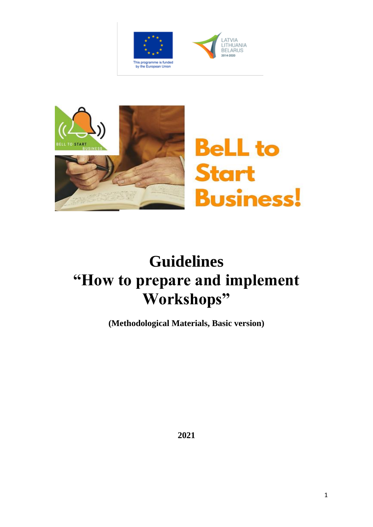





# **Guidelines "How to prepare and implement Workshops"**

**(Methodological Materials, Basic version)**

**2021**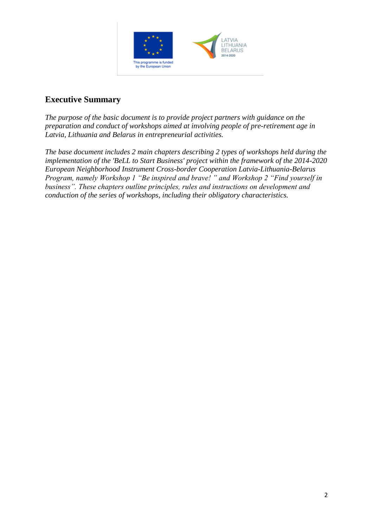

## **Executive Summary**

*The purpose of the basic document is to provide project partners with guidance on the preparation and conduct of workshops aimed at involving people of pre-retirement age in Latvia, Lithuania and Belarus in entrepreneurial activities.* 

*The base document includes 2 main chapters describing 2 types of workshops held during the implementation of the 'BeLL to Start Business' project within the framework of the 2014-2020 European Neighborhood Instrument Cross-border Cooperation Latvia-Lithuania-Belarus Program, namely Workshop 1 "Be inspired and brave! " and Workshop 2 "Find yourself in business". These chapters outline principles, rules and instructions on development and conduction of the series of workshops, including their obligatory characteristics.*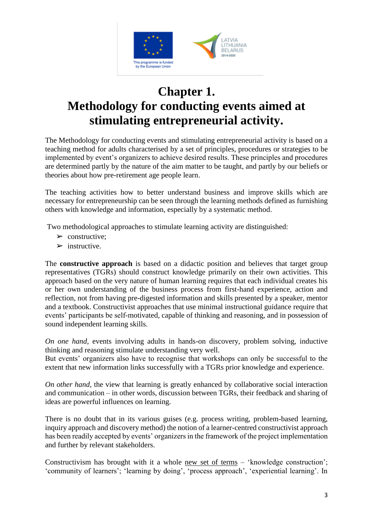

# **Chapter 1. Methodology for conducting events aimed at stimulating entrepreneurial activity.**

The Methodology for conducting events and stimulating entrepreneurial activity is based on a teaching method for adults characterised by a set of principles, procedures or strategies to be implemented by event's organizers to achieve desired results. These principles and procedures are determined partly by the nature of the aim matter to be taught, and partly by our beliefs or theories about how pre-retirement age people learn.

The teaching activities how to better understand business and improve skills which are necessary for entrepreneurship can be seen through the learning methods defined as furnishing others with knowledge and information, especially by a systematic method.

Two methodological approaches to stimulate learning activity are distinguished:

- $\triangleright$  constructive:
- $\triangleright$  instructive.

The **constructive approach** is based on a didactic position and believes that target group representatives (TGRs) should construct knowledge primarily on their own activities. This approach based on the very nature of human learning requires that each individual creates his or her own understanding of the business process from first-hand experience, action and reflection, not from having pre-digested information and skills presented by a speaker, mentor and a textbook. Constructivist approaches that use minimal instructional guidance require that events' participants be self-motivated, capable of thinking and reasoning, and in possession of sound independent learning skills.

*On one hand*, events involving adults in hands-on discovery, problem solving, inductive thinking and reasoning stimulate understanding very well.

But events' organizers also have to recognise that workshops can only be successful to the extent that new information links successfully with a TGRs prior knowledge and experience.

*On other hand*, the view that learning is greatly enhanced by collaborative social interaction and communication – in other words, discussion between TGRs, their feedback and sharing of ideas are powerful influences on learning.

There is no doubt that in its various guises (e.g. process writing, problem-based learning, inquiry approach and discovery method) the notion of a learner-centred constructivist approach has been readily accepted by events' organizers in the framework of the project implementation and further by relevant stakeholders.

Constructivism has brought with it a whole new set of terms – 'knowledge construction'; 'community of learners'; 'learning by doing', 'process approach', 'experiential learning'. In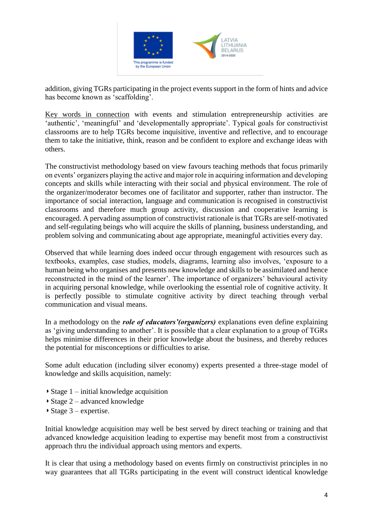

addition, giving TGRs participating in the project events support in the form of hints and advice has become known as 'scaffolding'.

Key words in connection with events and stimulation entrepreneurship activities are 'authentic', 'meaningful' and 'developmentally appropriate'. Typical goals for constructivist classrooms are to help TGRs become inquisitive, inventive and reflective, and to encourage them to take the initiative, think, reason and be confident to explore and exchange ideas with others.

The constructivist methodology based on view favours teaching methods that focus primarily on events' organizers playing the active and major role in acquiring information and developing concepts and skills while interacting with their social and physical environment. The role of the organizer/moderator becomes one of facilitator and supporter, rather than instructor. The importance of social interaction, language and communication is recognised in constructivist classrooms and therefore much group activity, discussion and cooperative learning is encouraged. A pervading assumption of constructivist rationale is that TGRs are self-motivated and self-regulating beings who will acquire the skills of planning, business understanding, and problem solving and communicating about age appropriate, meaningful activities every day.

Observed that while learning does indeed occur through engagement with resources such as textbooks, examples, case studies, models, diagrams, learning also involves, 'exposure to a human being who organises and presents new knowledge and skills to be assimilated and hence reconstructed in the mind of the learner'. The importance of organizers' behavioural activity in acquiring personal knowledge, while overlooking the essential role of cognitive activity. It is perfectly possible to stimulate cognitive activity by direct teaching through verbal communication and visual means.

In a methodology on the *role of educators'(organizers)* explanations even define explaining as 'giving understanding to another'. It is possible that a clear explanation to a group of TGRs helps minimise differences in their prior knowledge about the business, and thereby reduces the potential for misconceptions or difficulties to arise.

Some adult education (including silver economy) experts presented a three-stage model of knowledge and skills acquisition, namely:

- ◗ Stage 1 initial knowledge acquisition
- ◗ Stage 2 advanced knowledge
- $\triangleright$  Stage 3 expertise.

Initial knowledge acquisition may well be best served by direct teaching or training and that advanced knowledge acquisition leading to expertise may benefit most from a constructivist approach thru the individual approach using mentors and experts.

It is clear that using a methodology based on events firmly on constructivist principles in no way guarantees that all TGRs participating in the event will construct identical knowledge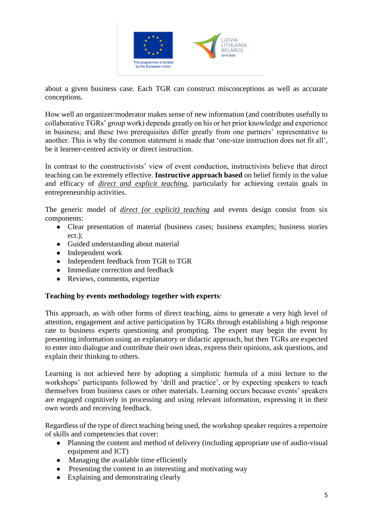

about a given business case. Each TGR can construct misconceptions as well as accurate conceptions.

How well an organizer/moderator makes sense of new information (and contributes usefully to collaborative TGRs' group work) depends greatly on his or her prior knowledge and experience in business; and these two prerequisites differ greatly from one partners' representative to another. This is why the common statement is made that 'one-size instruction does not fit all', be it learner-centred activity or direct instruction.

In contrast to the constructivists' view of event conduction, instructivists believe that direct teaching can be extremely effective. **Instructive approach based** on belief firmly in the value and efficacy of *direct and explicit teaching*, particularly for achieving certain goals in entrepreneurship activities.

The generic model of *direct (or explicit) teaching* and events design consist from six components:

- Clear presentation of material (business cases; business examples; business stories ect.);
- Guided understanding about material
- Independent work
- Independent feedback from TGR to TGR
- Immediate correction and feedback
- Reviews, comments, expertize

#### **Teaching by events methodology together with experts**:

This approach, as with other forms of direct teaching, aims to generate a very high level of attention, engagement and active participation by TGRs through establishing a high response rate to business experts questioning and prompting. The expert may begin the event by presenting information using an explanatory or didactic approach, but then TGRs are expected to enter into dialogue and contribute their own ideas, express their opinions, ask questions, and explain their thinking to others.

Learning is not achieved here by adopting a simplistic formula of a mini lecture to the workshops' participants followed by 'drill and practice', or by expecting speakers to teach themselves from business cases or other materials. Learning occurs because events' speakers are engaged cognitively in processing and using relevant information, expressing it in their own words and receiving feedback.

Regardless of the type of direct teaching being used, the workshop speaker requires a repertoire of skills and competencies that cover:

- Planning the content and method of delivery (including appropriate use of audio-visual equipment and ICT)
- Managing the available time efficiently
- Presenting the content in an interesting and motivating way
- Explaining and demonstrating clearly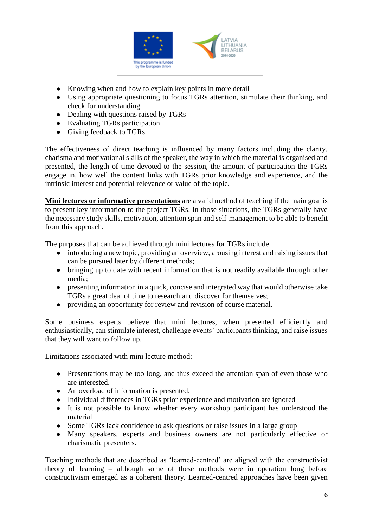

- Knowing when and how to explain key points in more detail
- Using appropriate questioning to focus TGRs attention, stimulate their thinking, and check for understanding
- Dealing with questions raised by TGRs
- Evaluating TGRs participation
- Giving feedback to TGRs.

The effectiveness of direct teaching is influenced by many factors including the clarity, charisma and motivational skills of the speaker, the way in which the material is organised and presented, the length of time devoted to the session, the amount of participation the TGRs engage in, how well the content links with TGRs prior knowledge and experience, and the intrinsic interest and potential relevance or value of the topic.

**Mini lectures or informative presentations** are a valid method of teaching if the main goal is to present key information to the project TGRs. In those situations, the TGRs generally have the necessary study skills, motivation, attention span and self-management to be able to benefit from this approach.

The purposes that can be achieved through mini lectures for TGRs include:

- introducing a new topic, providing an overview, arousing interest and raising issues that can be pursued later by different methods;
- bringing up to date with recent information that is not readily available through other media;
- presenting information in a quick, concise and integrated way that would otherwise take TGRs a great deal of time to research and discover for themselves;
- providing an opportunity for review and revision of course material.

Some business experts believe that mini lectures, when presented efficiently and enthusiastically, can stimulate interest, challenge events' participants thinking, and raise issues that they will want to follow up.

Limitations associated with mini lecture method:

- Presentations may be too long, and thus exceed the attention span of even those who are interested.
- An overload of information is presented.
- Individual differences in TGRs prior experience and motivation are ignored
- It is not possible to know whether every workshop participant has understood the material
- Some TGRs lack confidence to ask questions or raise issues in a large group
- Many speakers, experts and business owners are not particularly effective or charismatic presenters.

Teaching methods that are described as 'learned-centred' are aligned with the constructivist theory of learning – although some of these methods were in operation long before constructivism emerged as a coherent theory. Learned-centred approaches have been given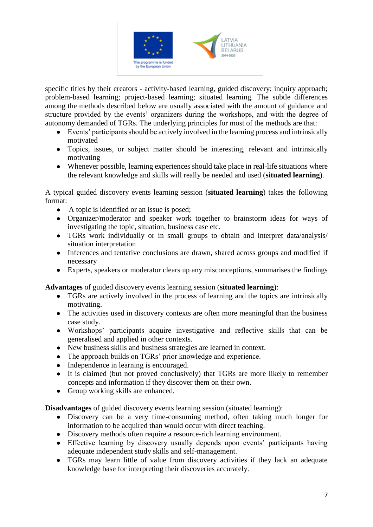

specific titles by their creators - activity-based learning, guided discovery; inquiry approach; problem-based learning; project-based learning; situated learning. The subtle differences among the methods described below are usually associated with the amount of guidance and structure provided by the events' organizers during the workshops, and with the degree of autonomy demanded of TGRs. The underlying principles for most of the methods are that:

- Events' participants should be actively involved in the learning process and intrinsically motivated
- Topics, issues, or subject matter should be interesting, relevant and intrinsically motivating
- Whenever possible, learning experiences should take place in real-life situations where the relevant knowledge and skills will really be needed and used (**situated learning**).

A typical guided discovery events learning session (**situated learning**) takes the following format:

- A topic is identified or an issue is posed;
- Organizer/moderator and speaker work together to brainstorm ideas for ways of investigating the topic, situation, business case etc.
- TGRs work individually or in small groups to obtain and interpret data/analysis/ situation interpretation
- Inferences and tentative conclusions are drawn, shared across groups and modified if necessary
- Experts, speakers or moderator clears up any misconceptions, summarises the findings

**Advantages** of guided discovery events learning session (**situated learning**):

- TGRs are actively involved in the process of learning and the topics are intrinsically motivating.
- The activities used in discovery contexts are often more meaningful than the business case study.
- Workshops' participants acquire investigative and reflective skills that can be generalised and applied in other contexts.
- New business skills and business strategies are learned in context.
- The approach builds on TGRs' prior knowledge and experience.
- Independence in learning is encouraged.
- It is claimed (but not proved conclusively) that TGRs are more likely to remember concepts and information if they discover them on their own.
- Group working skills are enhanced.

**Disadvantages** of guided discovery events learning session (situated learning):

- Discovery can be a very time-consuming method, often taking much longer for information to be acquired than would occur with direct teaching.
- Discovery methods often require a resource-rich learning environment.
- Effective learning by discovery usually depends upon events' participants having adequate independent study skills and self-management.
- TGRs may learn little of value from discovery activities if they lack an adequate knowledge base for interpreting their discoveries accurately.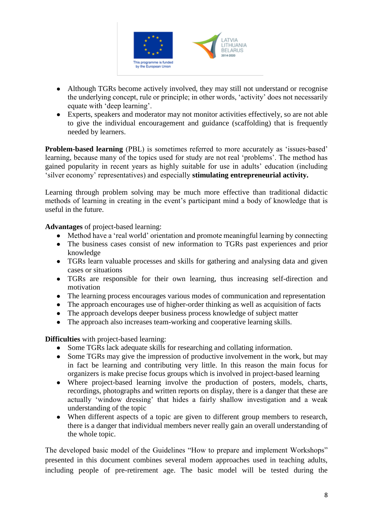

- Although TGRs become actively involved, they may still not understand or recognise the underlying concept, rule or principle; in other words, 'activity' does not necessarily equate with 'deep learning'.
- Experts, speakers and moderator may not monitor activities effectively, so are not able to give the individual encouragement and guidance (scaffolding) that is frequently needed by learners.

**Problem-based learning** (PBL) is sometimes referred to more accurately as 'issues-based' learning, because many of the topics used for study are not real 'problems'. The method has gained popularity in recent years as highly suitable for use in adults' education (including 'silver economy' representatives) and especially **stimulating entrepreneurial activity.**

Learning through problem solving may be much more effective than traditional didactic methods of learning in creating in the event's participant mind a body of knowledge that is useful in the future.

**Advantages** of project-based learning:

- Method have a 'real world' orientation and promote meaningful learning by connecting
- The business cases consist of new information to TGRs past experiences and prior knowledge
- TGRs learn valuable processes and skills for gathering and analysing data and given cases or situations
- TGRs are responsible for their own learning, thus increasing self-direction and motivation
- The learning process encourages various modes of communication and representation
- The approach encourages use of higher-order thinking as well as acquisition of facts
- The approach develops deeper business process knowledge of subject matter
- The approach also increases team-working and cooperative learning skills.

**Difficulties** with project-based learning:

- Some TGRs lack adequate skills for researching and collating information.
- Some TGRs may give the impression of productive involvement in the work, but may in fact be learning and contributing very little. In this reason the main focus for organizers is make precise focus groups which is involved in project-based learning
- Where project-based learning involve the production of posters, models, charts, recordings, photographs and written reports on display, there is a danger that these are actually 'window dressing' that hides a fairly shallow investigation and a weak understanding of the topic
- When different aspects of a topic are given to different group members to research, there is a danger that individual members never really gain an overall understanding of the whole topic.

The developed basic model of the Guidelines "How to prepare and implement Workshops" presented in this document combines several modern approaches used in teaching adults, including people of pre-retirement age. The basic model will be tested during the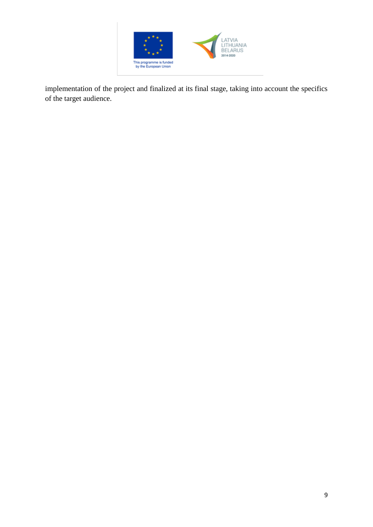

implementation of the project and finalized at its final stage, taking into account the specifics of the target audience.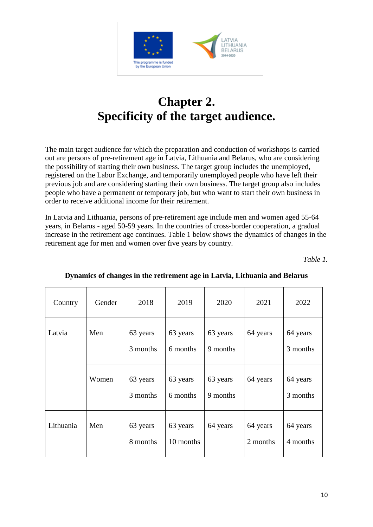

# **Chapter 2. Specificity of the target audience.**

The main target audience for which the preparation and conduction of workshops is carried out are persons of pre-retirement age in Latvia, Lithuania and Belarus, who are considering the possibility of starting their own business. The target group includes the unemployed, registered on the Labor Exchange, and temporarily unemployed people who have left their previous job and are considering starting their own business. The target group also includes people who have a permanent or temporary job, but who want to start their own business in order to receive additional income for their retirement.

In Latvia and Lithuania, persons of pre-retirement age include men and women aged 55-64 years, in Belarus - aged 50-59 years. In the countries of cross-border cooperation, a gradual increase in the retirement age continues. Table 1 below shows the dynamics of changes in the retirement age for men and women over five years by country.

*Table 1.*

| Country   | Gender                      | 2018                 | 2019                  | 2020                 | 2021                 | 2022                 |
|-----------|-----------------------------|----------------------|-----------------------|----------------------|----------------------|----------------------|
| Latvia    | Men<br>63 years<br>3 months |                      | 63 years<br>6 months  | 63 years<br>9 months |                      | 64 years<br>3 months |
|           | Women                       | 63 years<br>3 months | 63 years<br>6 months  | 63 years<br>9 months | 64 years             | 64 years<br>3 months |
| Lithuania | Men                         | 63 years<br>8 months | 63 years<br>10 months | 64 years             | 64 years<br>2 months | 64 years<br>4 months |

#### **Dynamics of changes in the retirement age in Latvia, Lithuania and Belarus**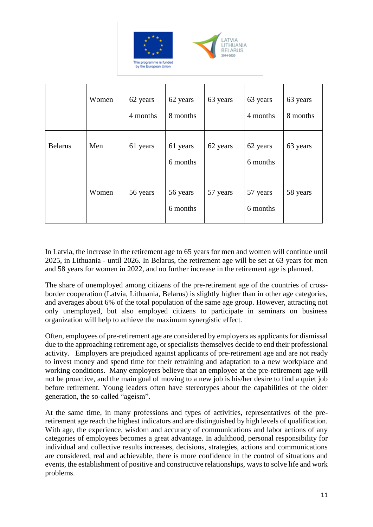

|                | Women | 62 years<br>4 months | 62 years<br>8 months | 63 years | 63 years<br>4 months | 63 years<br>8 months |
|----------------|-------|----------------------|----------------------|----------|----------------------|----------------------|
| <b>Belarus</b> | Men   | 61 years             | 61 years<br>6 months | 62 years | 62 years<br>6 months | 63 years             |
|                | Women | 56 years             | 56 years<br>6 months | 57 years | 57 years<br>6 months | 58 years             |

In Latvia, the increase in the retirement age to 65 years for men and women will continue until 2025, in Lithuania - until 2026. In Belarus, the retirement age will be set at 63 years for men and 58 years for women in 2022, and no further increase in the retirement age is planned.

The share of unemployed among citizens of the pre-retirement age of the countries of crossborder cooperation (Latvia, Lithuania, Belarus) is slightly higher than in other age categories, and averages about 6% of the total population of the same age group. However, attracting not only unemployed, but also employed citizens to participate in seminars on business organization will help to achieve the maximum synergistic effect.

Often, employees of pre-retirement age are considered by employers as applicants for dismissal due to the approaching retirement age, or specialists themselves decide to end their professional activity. Employers are prejudiced against applicants of pre-retirement age and are not ready to invest money and spend time for their retraining and adaptation to a new workplace and working conditions. Many employers believe that an employee at the pre-retirement age will not be proactive, and the main goal of moving to a new job is his/her desire to find a quiet job before retirement. Young leaders often have stereotypes about the capabilities of the older generation, the so-called "ageism".

At the same time, in many professions and types of activities, representatives of the preretirement age reach the highest indicators and are distinguished by high levels of qualification. With age, the experience, wisdom and accuracy of communications and labor actions of any categories of employees becomes a great advantage. In adulthood, personal responsibility for individual and collective results increases, decisions, strategies, actions and communications are considered, real and achievable, there is more confidence in the control of situations and events, the establishment of positive and constructive relationships, ways to solve life and work problems.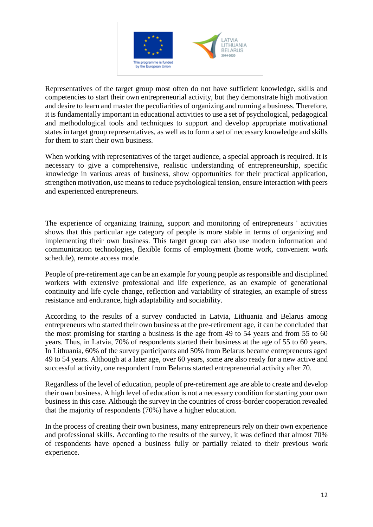

Representatives of the target group most often do not have sufficient knowledge, skills and competencies to start their own entrepreneurial activity, but they demonstrate high motivation and desire to learn and master the peculiarities of organizing and running a business. Therefore, it is fundamentally important in educational activities to use a set of psychological, pedagogical and methodological tools and techniques to support and develop appropriate motivational states in target group representatives, as well as to form a set of necessary knowledge and skills for them to start their own business.

When working with representatives of the target audience, a special approach is required. It is necessary to give a comprehensive, realistic understanding of entrepreneurship, specific knowledge in various areas of business, show opportunities for their practical application, strengthen motivation, use means to reduce psychological tension, ensure interaction with peers and experienced entrepreneurs.

The experience of organizing training, support and monitoring of entrepreneurs ' activities shows that this particular age category of people is more stable in terms of organizing and implementing their own business. This target group can also use modern information and communication technologies, flexible forms of employment (home work, convenient work schedule), remote access mode.

People of pre-retirement age can be an example for young people as responsible and disciplined workers with extensive professional and life experience, as an example of generational continuity and life cycle change, reflection and variability of strategies, an example of stress resistance and endurance, high adaptability and sociability.

According to the results of a survey conducted in Latvia, Lithuania and Belarus among entrepreneurs who started their own business at the pre-retirement age, it can be concluded that the most promising for starting a business is the age from 49 to 54 years and from 55 to 60 years. Thus, in Latvia, 70% of respondents started their business at the age of 55 to 60 years. In Lithuania, 60% of the survey participants and 50% from Belarus became entrepreneurs aged 49 to 54 years. Although at a later age, over 60 years, some are also ready for a new active and successful activity, one respondent from Belarus started entrepreneurial activity after 70.

Regardless of the level of education, people of pre-retirement age are able to create and develop their own business. A high level of education is not a necessary condition for starting your own business in this case. Although the survey in the countries of cross-border cooperation revealed that the majority of respondents (70%) have a higher education.

In the process of creating their own business, many entrepreneurs rely on their own experience and professional skills. According to the results of the survey, it was defined that almost 70% of respondents have opened a business fully or partially related to their previous work experience.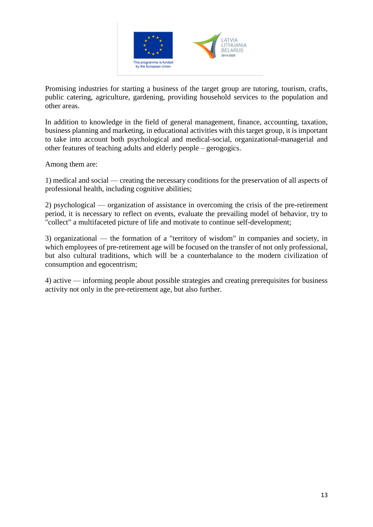

Promising industries for starting a business of the target group are tutoring, tourism, crafts, public catering, agriculture, gardening, providing household services to the population and other areas.

In addition to knowledge in the field of general management, finance, accounting, taxation, business planning and marketing, in educational activities with this target group, it is important to take into account both psychological and medical-social, organizational-managerial and other features of teaching adults and elderly people – gerogogics.

Among them are:

1) medical and social — creating the necessary conditions for the preservation of all aspects of professional health, including cognitive abilities;

2) psychological — organization of assistance in overcoming the crisis of the pre-retirement period, it is necessary to reflect on events, evaluate the prevailing model of behavior, try to "collect" a multifaceted picture of life and motivate to continue self-development;

3) organizational — the formation of a "territory of wisdom" in companies and society, in which employees of pre-retirement age will be focused on the transfer of not only professional, but also cultural traditions, which will be a counterbalance to the modern civilization of consumption and egocentrism;

4) active — informing people about possible strategies and creating prerequisites for business activity not only in the pre-retirement age, but also further.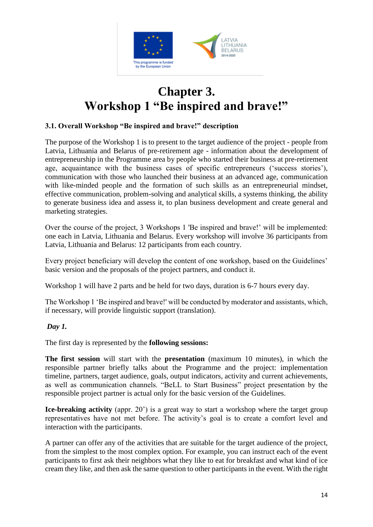

# **Chapter 3. Workshop 1 "Be inspired and brave!"**

#### **3.1. Overall Workshop "Be inspired and brave!" description**

The purpose of the Workshop 1 is to present to the target audience of the project - people from Latvia, Lithuania and Belarus of pre-retirement age - information about the development of entrepreneurship in the Programme area by people who started their business at pre-retirement age, acquaintance with the business cases of specific entrepreneurs ('success stories'), communication with those who launched their business at an advanced age, communication with like-minded people and the formation of such skills as an entrepreneurial mindset, effective communication, problem-solving and analytical skills, a systems thinking, the ability to generate business idea and assess it, to plan business development and create general and marketing strategies.

Over the course of the project, 3 Workshops 1 'Be inspired and brave!' will be implemented: one each in Latvia, Lithuania and Belarus. Every workshop will involve 36 participants from Latvia, Lithuania and Belarus: 12 participants from each country.

Every project beneficiary will develop the content of one workshop, based on the Guidelines' basic version and the proposals of the project partners, and conduct it.

Workshop 1 will have 2 parts and be held for two days, duration is 6-7 hours every day.

The Workshop 1 'Be inspired and brave!' will be conducted by moderator and assistants, which, if necessary, will provide linguistic support (translation).

#### *Day 1.*

The first day is represented by the **following sessions:**

**The first session** will start with the **presentation** (maximum 10 minutes), in which the responsible partner briefly talks about the Programme and the project: implementation timeline, partners, target audience, goals, output indicators, activity and current achievements, as well as communication channels. "BeLL to Start Business" project presentation by the responsible project partner is actual only for the basic version of the Guidelines.

**Ice-breaking activity** (appr. 20') is a great way to start a workshop where the target group representatives have not met before. The activity's goal is to create a comfort level and interaction with the participants.

A partner can offer any of the activities that are suitable for the target audience of the project, from the simplest to the most complex option. For example, you can instruct each of the event participants to first ask their neighbors what they like to eat for breakfast and what kind of ice cream they like, and then ask the same question to other participants in the event. With the right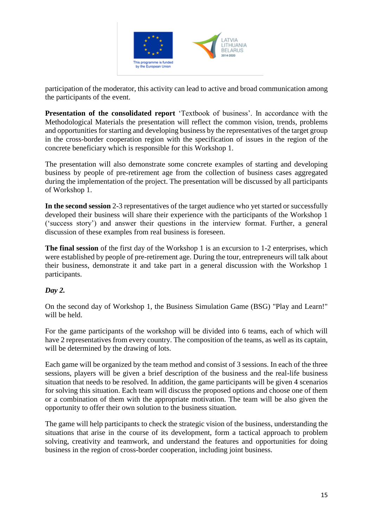

participation of the moderator, this activity can lead to active and broad communication among the participants of the event.

**Presentation of the consolidated report** 'Textbook of business'. In accordance with the Methodological Materials the presentation will reflect the common vision, trends, problems and opportunities for starting and developing business by the representatives of the target group in the cross-border cooperation region with the specification of issues in the region of the concrete beneficiary which is responsible for this Workshop 1.

The presentation will also demonstrate some concrete examples of starting and developing business by people of pre-retirement age from the collection of business cases aggregated during the implementation of the project. The presentation will be discussed by all participants of Workshop 1.

**In the second session** 2-3 representatives of the target audience who yet started or successfully developed their business will share their experience with the participants of the Workshop 1 ('success story') and answer their questions in the interview format. Further, a general discussion of these examples from real business is foreseen.

**The final session** of the first day of the Workshop 1 is an excursion to 1-2 enterprises, which were established by people of pre-retirement age. During the tour, entrepreneurs will talk about their business, demonstrate it and take part in a general discussion with the Workshop 1 participants.

#### *Day 2.*

On the second day of Workshop 1, the Business Simulation Game (BSG) "Play and Learn!" will be held.

For the game participants of the workshop will be divided into 6 teams, each of which will have 2 representatives from every country. The composition of the teams, as well as its captain, will be determined by the drawing of lots.

Each game will be organized by the team method and consist of 3 sessions. In each of the three sessions, players will be given a brief description of the business and the real-life business situation that needs to be resolved. In addition, the game participants will be given 4 scenarios for solving this situation. Each team will discuss the proposed options and choose one of them or a combination of them with the appropriate motivation. The team will be also given the opportunity to offer their own solution to the business situation.

The game will help participants to check the strategic vision of the business, understanding the situations that arise in the course of its development, form a tactical approach to problem solving, creativity and teamwork, and understand the features and opportunities for doing business in the region of cross-border cooperation, including joint business.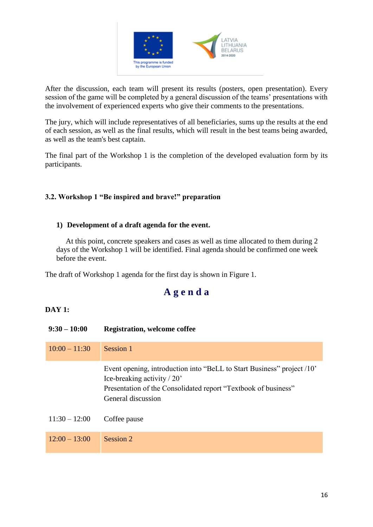

After the discussion, each team will present its results (posters, open presentation). Every session of the game will be completed by a general discussion of the teams' presentations with the involvement of experienced experts who give their comments to the presentations.

The jury, which will include representatives of all beneficiaries, sums up the results at the end of each session, as well as the final results, which will result in the best teams being awarded, as well as the team's best captain.

The final part of the Workshop 1 is the completion of the developed evaluation form by its participants.

#### **3.2. Workshop 1 "Be inspired and brave!" preparation**

#### **1) Development of a draft agenda for the event.**

 At this point, concrete speakers and cases as well as time allocated to them during 2 days of the Workshop 1 will be identified. Final agenda should be confirmed one week before the event.

The draft of Workshop 1 agenda for the first day is shown in Figure 1.

# **A g e n d a**

#### **DAY 1:**

| $9:30 - 10:00$  | <b>Registration, welcome coffee</b>                                                                                                                                                            |
|-----------------|------------------------------------------------------------------------------------------------------------------------------------------------------------------------------------------------|
| $10:00 - 11:30$ | Session 1                                                                                                                                                                                      |
|                 | Event opening, introduction into "BeLL to Start Business" project /10"<br>Ice-breaking activity $/ 20$<br>Presentation of the Consolidated report "Textbook of business"<br>General discussion |
| $11:30 - 12:00$ | Coffee pause                                                                                                                                                                                   |
| $12:00 - 13:00$ | Session 2                                                                                                                                                                                      |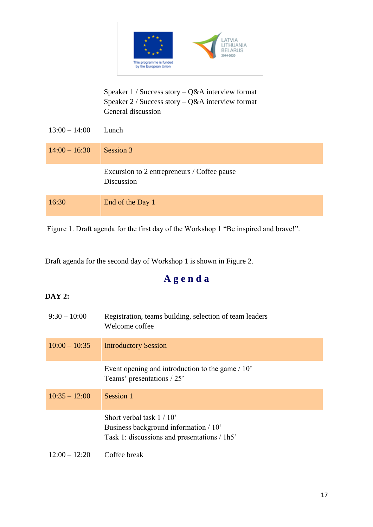

#### Speaker 1 / Success story – Q&A interview format Speaker 2 / Success story – Q&A interview format General discussion

| $13:00 - 14:00$ | Lunch                                                     |
|-----------------|-----------------------------------------------------------|
| $14:00 - 16:30$ | Session 3                                                 |
|                 | Excursion to 2 entrepreneurs / Coffee pause<br>Discussion |
| 16:30           | End of the Day 1                                          |

Figure 1. Draft agenda for the first day of the Workshop 1 "Be inspired and brave!".

Draft agenda for the second day of Workshop 1 is shown in Figure 2.

# **A g e n d a**

#### **DAY 2:**

| $9:30 - 10:00$  | Registration, teams building, selection of team leaders<br>Welcome coffee                                         |
|-----------------|-------------------------------------------------------------------------------------------------------------------|
| $10:00 - 10:35$ | <b>Introductory Session</b>                                                                                       |
|                 | Event opening and introduction to the game $/ 10$ .<br>Teams' presentations / 25'                                 |
| $10:35 - 12:00$ | Session 1                                                                                                         |
|                 | Short verbal task $1/10$<br>Business background information / 10'<br>Task 1: discussions and presentations / 1h5' |
| $12:00 - 12:20$ | Coffee break                                                                                                      |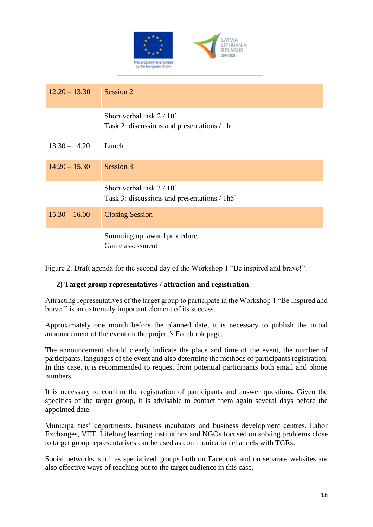

| $12:20 - 13:30$ | Session 2                                                                |
|-----------------|--------------------------------------------------------------------------|
|                 | Short verbal task $2/10$<br>Task 2: discussions and presentations / 1h   |
| $13.30 - 14.20$ | Lunch                                                                    |
| $14:20 - 15.30$ | Session 3                                                                |
|                 | Short verbal task $3/10$<br>Task 3: discussions and presentations / 1h5' |
| $15.30 - 16.00$ | <b>Closing Session</b>                                                   |
|                 | Summing up, award procedure<br>Game assessment                           |

Figure 2. Draft agenda for the second day of the Workshop 1 "Be inspired and brave!".

#### **2) Target group representatives / attraction and registration**

Attracting representatives of the target group to participate in the Workshop 1 "Be inspired and brave!" is an extremely important element of its success.

Approximately one month before the planned date, it is necessary to publish the initial announcement of the event on the project's Facebook page.

The announcement should clearly indicate the place and time of the event, the number of participants, languages of the event and also determine the methods of participants registration. In this case, it is recommended to request from potential participants both email and phone numbers.

It is necessary to confirm the registration of participants and answer questions. Given the specifics of the target group, it is advisable to contact them again several days before the appointed date.

Municipalities' departments, business incubators and business development centres, Labor Exchanges, VET, Lifelong learning institutions and NGOs focused on solving problems close to target group representatives can be used as communication channels with TGRs.

Social networks, such as specialized groups both on Facebook and on separate websites are also effective ways of reaching out to the target audience in this case.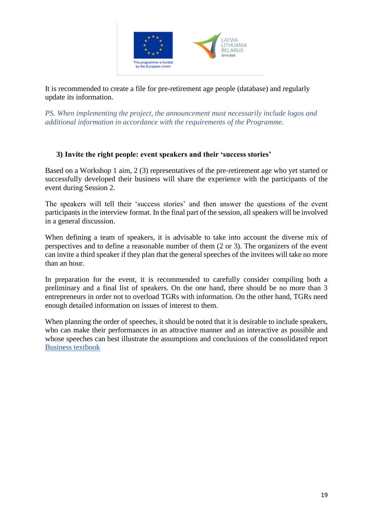

It is recommended to create a file for pre-retirement age people (database) and regularly update its information.

*PS. When implementing the project, the announcement must necessarily include logos and additional information in accordance with the requirements of the Programme.*

#### **3) Invite the right people: event speakers and their 'success stories'**

Based on a Workshop 1 aim, 2 (3) representatives of the pre-retirement age who yet started or successfully developed their business will share the experience with the participants of the event during Session 2.

The speakers will tell their 'success stories' and then answer the questions of the event participants in the interview format. In the final part of the session, all speakers will be involved in a general discussion.

When defining a team of speakers, it is advisable to take into account the diverse mix of perspectives and to define a reasonable number of them (2 or 3). The organizers of the event can invite a third speaker if they plan that the general speeches of the invitees will take no more than an hour.

In preparation for the event, it is recommended to carefully consider compiling both a preliminary and a final list of speakers. On the one hand, there should be no more than 3 entrepreneurs in order not to overload TGRs with information. On the other hand, TGRs need enough detailed information on issues of interest to them.

When planning the order of speeches, it should be noted that it is desirable to include speakers, who can make their performances in an attractive manner and as interactive as possible and whose speeches can best illustrate the assumptions and conclusions of the consolidated report [Business textbook](https://bellb.eu/for-potencial-enterpreneurs/textbook-of-business/)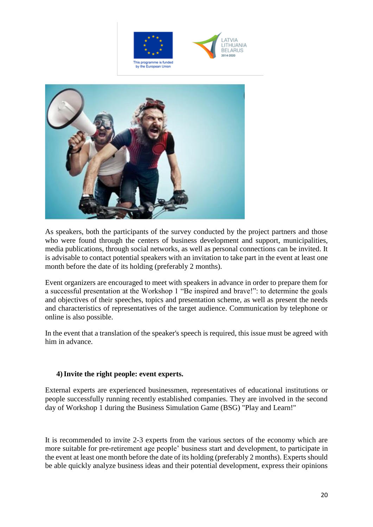





As speakers, both the participants of the survey conducted by the project partners and those who were found through the centers of business development and support, municipalities, media publications, through social networks, as well as personal connections can be invited. It is advisable to contact potential speakers with an invitation to take part in the event at least one month before the date of its holding (preferably 2 months).

Event organizers are encouraged to meet with speakers in advance in order to prepare them for a successful presentation at the Workshop 1 "Be inspired and brave!": to determine the goals and objectives of their speeches, topics and presentation scheme, as well as present the needs and characteristics of representatives of the target audience. Communication by telephone or online is also possible.

In the event that a translation of the speaker's speech is required, this issue must be agreed with him in advance.

#### **4)Invite the right people: event experts.**

External experts are experienced businessmen, representatives of educational institutions or people successfully running recently established companies. They are involved in the second day of Workshop 1 during the Business Simulation Game (BSG) "Play and Learn!"

It is recommended to invite 2-3 experts from the various sectors of the economy which are more suitable for pre-retirement age people' business start and development, to participate in the event at least one month before the date of its holding (preferably 2 months). Experts should be able quickly analyze business ideas and their potential development, express their opinions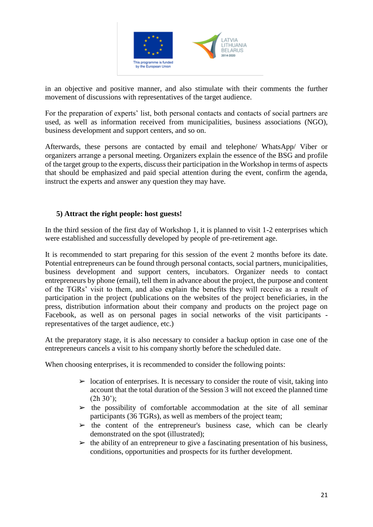

in an objective and positive manner, and also stimulate with their comments the further movement of discussions with representatives of the target audience.

For the preparation of experts' list, both personal contacts and contacts of social partners are used, as well as information received from municipalities, business associations (NGO), business development and support centers, and so on.

Afterwards, these persons are contacted by email and telephone/ WhatsApp/ Viber or organizers arrange a personal meeting. Organizers explain the essence of the BSG and profile of the target group to the experts, discuss their participation in the Workshop in terms of aspects that should be emphasized and paid special attention during the event, confirm the agenda, instruct the experts and answer any question they may have.

#### **5) Attract the right people: host guests!**

In the third session of the first day of Workshop 1, it is planned to visit 1-2 enterprises which were established and successfully developed by people of pre-retirement age.

It is recommended to start preparing for this session of the event 2 months before its date. Potential entrepreneurs can be found through personal contacts, social partners, municipalities, business development and support centers, incubators. Organizer needs to contact entrepreneurs by phone (email), tell them in advance about the project, the purpose and content of the TGRs' visit to them, and also explain the benefits they will receive as a result of participation in the project (publications on the websites of the project beneficiaries, in the press, distribution information about their company and products on the project page on Facebook, as well as on personal pages in social networks of the visit participants representatives of the target audience, etc.)

At the preparatory stage, it is also necessary to consider a backup option in case one of the entrepreneurs cancels a visit to his company shortly before the scheduled date.

When choosing enterprises, it is recommended to consider the following points:

- $\triangleright$  location of enterprises. It is necessary to consider the route of visit, taking into account that the total duration of the Session 3 will not exceed the planned time  $(2h 30$ <sup>"</sup>);
- $\triangleright$  the possibility of comfortable accommodation at the site of all seminar participants (36 TGRs), as well as members of the project team;
- $\triangleright$  the content of the entrepreneur's business case, which can be clearly demonstrated on the spot (illustrated);
- $\triangleright$  the ability of an entrepreneur to give a fascinating presentation of his business, conditions, opportunities and prospects for its further development.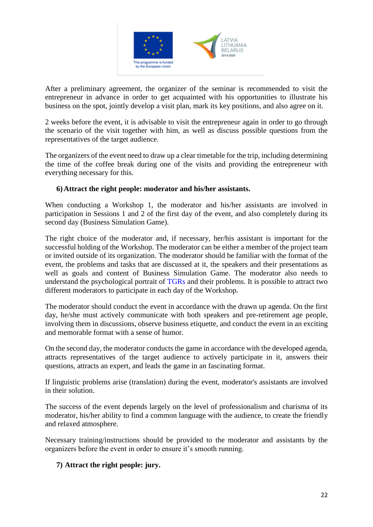

After a preliminary agreement, the organizer of the seminar is recommended to visit the entrepreneur in advance in order to get acquainted with his opportunities to illustrate his business on the spot, jointly develop a visit plan, mark its key positions, and also agree on it.

2 weeks before the event, it is advisable to visit the entrepreneur again in order to go through the scenario of the visit together with him, as well as discuss possible questions from the representatives of the target audience.

The organizers of the event need to draw up a clear timetable for the trip, including determining the time of the coffee break during one of the visits and providing the entrepreneur with everything necessary for this.

#### **6) Attract the right people: moderator and his/her assistants.**

When conducting a Workshop 1, the moderator and his/her assistants are involved in participation in Sessions 1 and 2 of the first day of the event, and also completely during its second day (Business Simulation Game).

The right choice of the moderator and, if necessary, her/his assistant is important for the successful holding of the Workshop. The moderator can be either a member of the project team or invited outside of its organization. The moderator should be familiar with the format of the event, the problems and tasks that are discussed at it, the speakers and their presentations as well as goals and content of Business Simulation Game. The moderator also needs to understand the psychological portrait of TGRs and their problems. It is possible to attract two different moderators to participate in each day of the Workshop.

The moderator should conduct the event in accordance with the drawn up agenda. On the first day, he/she must actively communicate with both speakers and pre-retirement age people, involving them in discussions, observe business etiquette, and conduct the event in an exciting and memorable format with a sense of humor.

On the second day, the moderator conducts the game in accordance with the developed agenda, attracts representatives of the target audience to actively participate in it, answers their questions, attracts an expert, and leads the game in an fascinating format.

If linguistic problems arise (translation) during the event, moderator's assistants are involved in their solution.

The success of the event depends largely on the level of professionalism and charisma of its moderator, his/her ability to find a common language with the audience, to create the friendly and relaxed atmosphere.

Necessary training/instructions should be provided to the moderator and assistants by the organizers before the event in order to ensure it's smooth running.

#### **7) Attract the right people: jury.**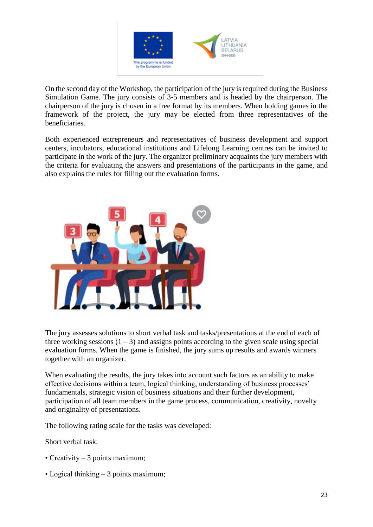

On the second day of the Workshop, the participation of the jury is required during the Business Simulation Game. The jury consists of 3-5 members and is headed by the chairperson. The chairperson of the jury is chosen in a free format by its members. When holding games in the framework of the project, the jury may be elected from three representatives of the beneficiaries.

Both experienced entrepreneurs and representatives of business development and support centers, incubators, educational institutions and Lifelong Learning centres can be invited to participate in the work of the jury. The organizer preliminary acquaints the jury members with the criteria for evaluating the answers and presentations of the participants in the game, and also explains the rules for filling out the evaluation forms.



The jury assesses solutions to short verbal task and tasks/presentations at the end of each of three working sessions  $(1 – 3)$  and assigns points according to the given scale using special evaluation forms. When the game is finished, the jury sums up results and awards winners together with an organizer.

When evaluating the results, the jury takes into account such factors as an ability to make effective decisions within a team, logical thinking, understanding of business processes' fundamentals, strategic vision of business situations and their further development, participation of all team members in the game process, communication, creativity, novelty and originality of presentations.

The following rating scale for the tasks was developed:

Short verbal task:

- Creativity 3 points maximum:
- Logical thinking 3 points maximum;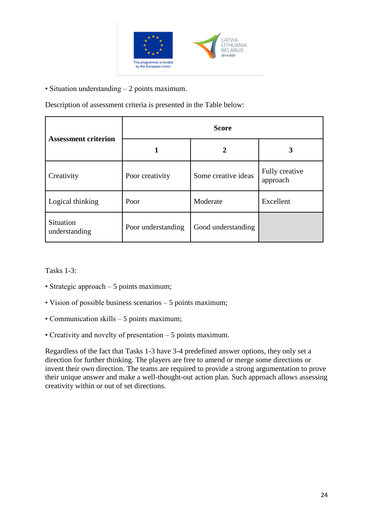

• Situation understanding – 2 points maximum.

Description of assessment criteria is presented in the Table below:

| <b>Assessment criterion</b> | <b>Score</b>       |                     |                            |  |  |
|-----------------------------|--------------------|---------------------|----------------------------|--|--|
|                             |                    | 2                   | 3                          |  |  |
| Creativity                  | Poor creativity    | Some creative ideas | Fully creative<br>approach |  |  |
| Logical thinking            | Poor               | Moderate            | Excellent                  |  |  |
| Situation<br>understanding  | Poor understanding | Good understanding  |                            |  |  |

Tasks 1-3:

- Strategic approach 5 points maximum;
- Vision of possible business scenarios 5 points maximum;
- Communication skills 5 points maximum;
- Creativity and novelty of presentation 5 points maximum.

Regardless of the fact that Tasks 1-3 have 3-4 predefined answer options, they only set a direction for further thinking. The players are free to amend or merge some directions or invent their own direction. The teams are required to provide a strong argumentation to prove their unique answer and make a well-thought-out action plan. Such approach allows assessing creativity within or out of set directions.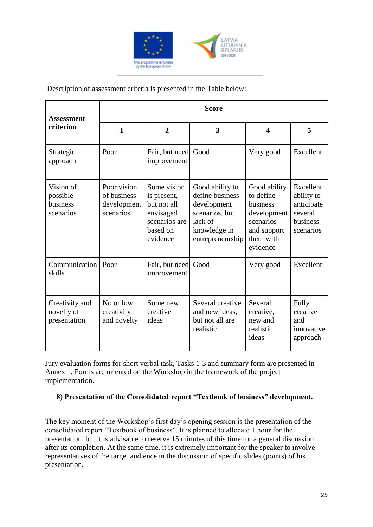

Description of assessment criteria is presented in the Table below:

| <b>Assessment</b>                              | <b>Score</b>                                           |                                                                                                 |                                                                                                                    |                                                                                                           |                                                                           |  |  |
|------------------------------------------------|--------------------------------------------------------|-------------------------------------------------------------------------------------------------|--------------------------------------------------------------------------------------------------------------------|-----------------------------------------------------------------------------------------------------------|---------------------------------------------------------------------------|--|--|
| criterion                                      | $\mathbf{1}$                                           | $\overline{2}$                                                                                  | $\overline{\mathbf{3}}$                                                                                            | $\overline{\mathbf{4}}$                                                                                   | 5                                                                         |  |  |
| Strategic<br>approach                          | Poor                                                   | Fair, but needs Good<br>improvement                                                             |                                                                                                                    | Very good                                                                                                 | Excellent                                                                 |  |  |
| Vision of<br>possible<br>business<br>scenarios | Poor vision<br>of business<br>development<br>scenarios | Some vision<br>is present,<br>but not all<br>envisaged<br>scenarios are<br>based on<br>evidence | Good ability to<br>define business<br>development<br>scenarios, but<br>lack of<br>knowledge in<br>entrepreneurship | Good ability<br>to define<br>business<br>development<br>scenarios<br>and support<br>them with<br>evidence | Excellent<br>ability to<br>anticipate<br>several<br>business<br>scenarios |  |  |
| Communication<br>skills                        | Poor                                                   | Fair, but needs Good<br>improvement                                                             |                                                                                                                    | Very good                                                                                                 | Excellent                                                                 |  |  |
| Creativity and<br>novelty of<br>presentation   | No or low<br>creativity<br>and novelty                 | Some new<br>creative<br>ideas                                                                   | Several creative<br>and new ideas,<br>but not all are<br>realistic                                                 | Several<br>creative,<br>new and<br>realistic<br>ideas                                                     | Fully<br>creative<br>and<br>innovative<br>approach                        |  |  |

Jury evaluation forms for short verbal task, Tasks 1-3 and summary form are presented in Annex 1. Forms are oriented on the Workshop in the framework of the project implementation.

#### **8) Presentation of the Consolidated report "Textbook of business" development.**

The key moment of the Workshop's first day's opening session is the presentation of the consolidated report "Textbook of business". It is planned to allocate 1 hour for the presentation, but it is advisable to reserve 15 minutes of this time for a general discussion after its completion. At the same time, it is extremely important for the speaker to involve representatives of the target audience in the discussion of specific slides (points) of his presentation.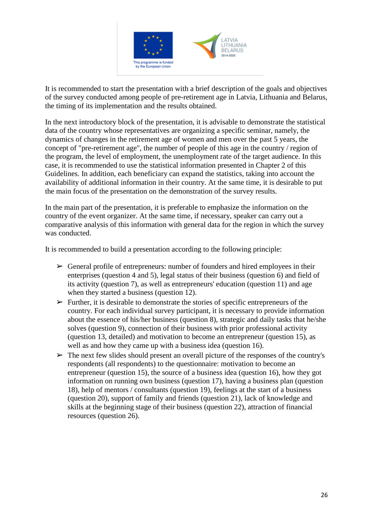

It is recommended to start the presentation with a brief description of the goals and objectives of the survey conducted among people of pre-retirement age in Latvia, Lithuania and Belarus, the timing of its implementation and the results obtained.

In the next introductory block of the presentation, it is advisable to demonstrate the statistical data of the country whose representatives are organizing a specific seminar, namely, the dynamics of changes in the retirement age of women and men over the past 5 years, the concept of "pre-retirement age", the number of people of this age in the country / region of the program, the level of employment, the unemployment rate of the target audience. In this case, it is recommended to use the statistical information presented in Chapter 2 of this Guidelines. In addition, each beneficiary can expand the statistics, taking into account the availability of additional information in their country. At the same time, it is desirable to put the main focus of the presentation on the demonstration of the survey results.

In the main part of the presentation, it is preferable to emphasize the information on the country of the event organizer. At the same time, if necessary, speaker can carry out a comparative analysis of this information with general data for the region in which the survey was conducted.

It is recommended to build a presentation according to the following principle:

- $\triangleright$  General profile of entrepreneurs: number of founders and hired employees in their enterprises (question 4 and 5), legal status of their business (question 6) and field of its activity (question 7), as well as entrepreneurs' education (question 11) and age when they started a business (question 12).
- $\triangleright$  Further, it is desirable to demonstrate the stories of specific entrepreneurs of the country. For each individual survey participant, it is necessary to provide information about the essence of his/her business (question 8), strategic and daily tasks that he/she solves (question 9), connection of their business with prior professional activity (question 13, detailed) and motivation to become an entrepreneur (question 15), as well as and how they came up with a business idea (question 16).
- $\triangleright$  The next few slides should present an overall picture of the responses of the country's respondents (all respondents) to the questionnaire: motivation to become an entrepreneur (question 15), the source of a business idea (question 16), how they got information on running own business (question 17), having a business plan (question 18), help of mentors / consultants (question 19), feelings at the start of a business (question 20), support of family and friends (question 21), lack of knowledge and skills at the beginning stage of their business (question 22), attraction of financial resources (question 26).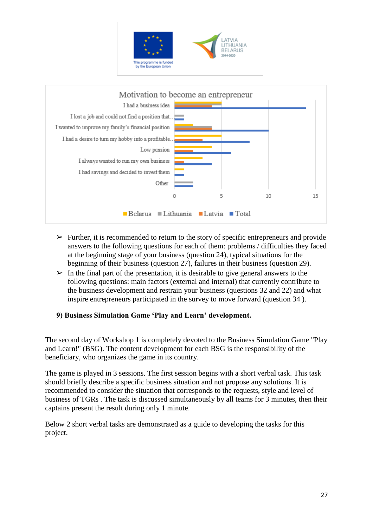



- $\triangleright$  Further, it is recommended to return to the story of specific entrepreneurs and provide answers to the following questions for each of them: problems / difficulties they faced at the beginning stage of your business (question 24), typical situations for the beginning of their business (question 27), failures in their business (question 29).
- $\triangleright$  In the final part of the presentation, it is desirable to give general answers to the following questions: main factors (external and internal) that currently contribute to the business development and restrain your business (questions 32 and 22) and what inspire entrepreneurs participated in the survey to move forward (question 34 ).

#### **9) Business Simulation Game 'Play and Learn' development.**

The second day of Workshop 1 is completely devoted to the Business Simulation Game "Play and Learn!" (BSG). The content development for each BSG is the responsibility of the beneficiary, who organizes the game in its country.

The game is played in 3 sessions. The first session begins with a short verbal task. This task should briefly describe a specific business situation and not propose any solutions. It is recommended to consider the situation that corresponds to the requests, style and level of business of TGRs . The task is discussed simultaneously by all teams for 3 minutes, then their captains present the result during only 1 minute.

Below 2 short verbal tasks are demonstrated as a guide to developing the tasks for this project.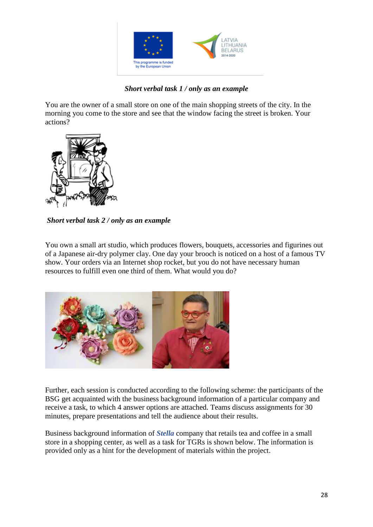

#### *Short verbal task 1 / only as an example*

You are the owner of a small store on one of the main shopping streets of the city. In the morning you come to the store and see that the window facing the street is broken. Your actions?



*Short verbal task 2 / only as an example*

You own a small art studio, which produces flowers, bouquets, accessories and figurines out of a Japanese air-dry polymer clay. One day your brooch is noticed on a host of a famous TV show. Your orders via an Internet shop rocket, but you do not have necessary human resources to fulfill even one third of them. What would you do?



Further, each session is conducted according to the following scheme: the participants of the BSG get acquainted with the business background information of a particular company and receive a task, to which 4 answer options are attached. Teams discuss assignments for 30 minutes, prepare presentations and tell the audience about their results.

Business background information of *Stella* company that retails tea and coffee in a small store in a shopping center, as well as a task for TGRs is shown below. The information is provided only as a hint for the development of materials within the project.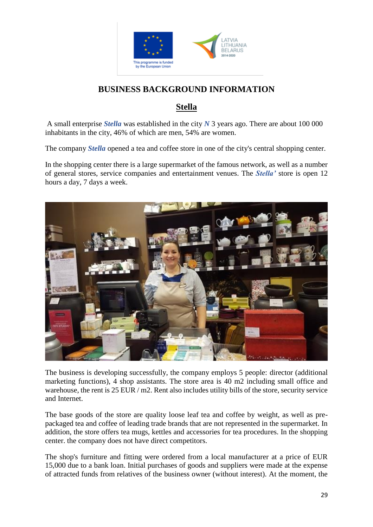

# **BUSINESS BACKGROUND INFORMATION**

# **Stella**

A small enterprise *Stella* was established in the city *N* 3 years ago. There are about 100 000 inhabitants in the city, 46% of which are men, 54% are women.

The company *Stella* opened a tea and coffee store in one of the city's central shopping center.

In the shopping center there is a large supermarket of the famous network, as well as a number of general stores, service companies and entertainment venues. The *Stella'* store is open 12 hours a day, 7 days a week.



The business is developing successfully, the company employs 5 people: director (additional marketing functions), 4 shop assistants. The store area is 40 m2 including small office and warehouse, the rent is 25 EUR / m2. Rent also includes utility bills of the store, security service and Internet.

The base goods of the store are quality loose leaf tea and coffee by weight, as well as prepackaged tea and coffee of leading trade brands that are not represented in the supermarket. In addition, the store offers tea mugs, kettles and accessories for tea procedures. In the shopping center. the company does not have direct competitors.

The shop's furniture and fitting were ordered from a local manufacturer at a price of EUR 15,000 due to a bank loan. Initial purchases of goods and suppliers were made at the expense of attracted funds from relatives of the business owner (without interest). At the moment, the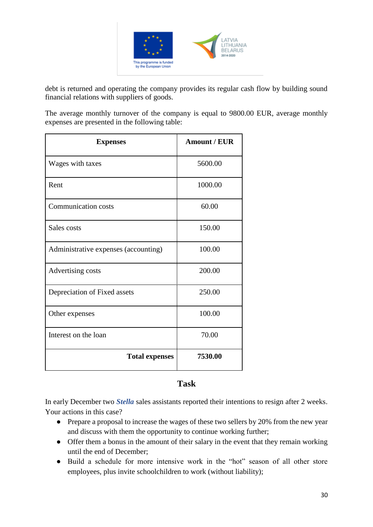

debt is returned and operating the company provides its regular cash flow by building sound financial relations with suppliers of goods.

The average monthly turnover of the company is equal to 9800.00 EUR, average monthly expenses are presented in the following table:

| <b>Expenses</b>                      | <b>Amount / EUR</b> |
|--------------------------------------|---------------------|
| Wages with taxes                     | 5600.00             |
| Rent                                 | 1000.00             |
| <b>Communication costs</b>           | 60.00               |
| Sales costs                          | 150.00              |
| Administrative expenses (accounting) | 100.00              |
| Advertising costs                    | 200.00              |
| Depreciation of Fixed assets         | 250.00              |
| Other expenses                       | 100.00              |
| Interest on the loan                 | 70.00               |
| <b>Total expenses</b>                | 7530.00             |

#### **Task**

In early December two *Stella* sales assistants reported their intentions to resign after 2 weeks. Your actions in this case?

- Prepare a proposal to increase the wages of these two sellers by 20% from the new year and discuss with them the opportunity to continue working further;
- Offer them a bonus in the amount of their salary in the event that they remain working until the end of December;
- Build a schedule for more intensive work in the "hot" season of all other store employees, plus invite schoolchildren to work (without liability);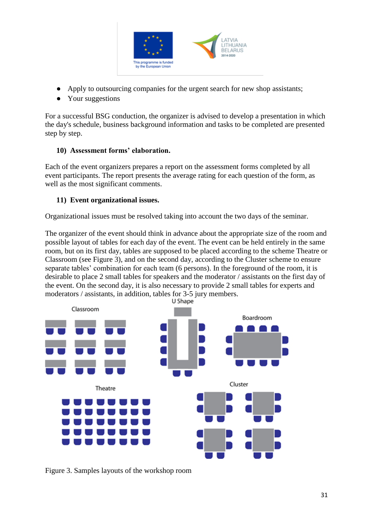

- Apply to outsourcing companies for the urgent search for new shop assistants;
- Your suggestions

For a successful BSG conduction, the organizer is advised to develop a presentation in which the day's schedule, business background information and tasks to be completed are presented step by step.

#### **10) Assessment forms' elaboration.**

Each of the event organizers prepares a report on the assessment forms completed by all event participants. The report presents the average rating for each question of the form, as well as the most significant comments.

#### **11) Event organizational issues.**

Organizational issues must be resolved taking into account the two days of the seminar.

The organizer of the event should think in advance about the appropriate size of the room and possible layout of tables for each day of the event. The event can be held entirely in the same room, but on its first day, tables are supposed to be placed according to the scheme Theatre or Classroom (see Figure 3), and on the second day, according to the Cluster scheme to ensure separate tables' combination for each team (6 persons). In the foreground of the room, it is desirable to place 2 small tables for speakers and the moderator / assistants on the first day of the event. On the second day, it is also necessary to provide 2 small tables for experts and moderators / assistants, in addition, tables for 3-5 jury members.



Figure 3. Samples layouts of the workshop room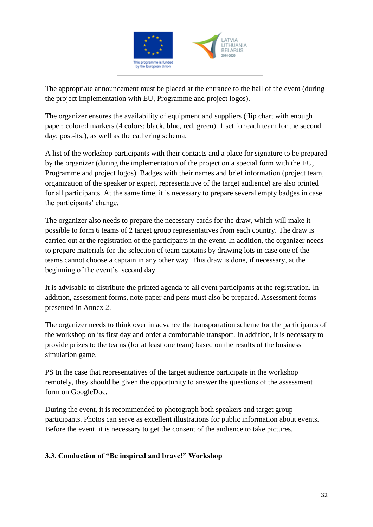

The appropriate announcement must be placed at the entrance to the hall of the event (during the project implementation with EU, Programme and project logos).

The organizer ensures the availability of equipment and suppliers (flip chart with enough paper: colored markers (4 colors: black, blue, red, green): 1 set for each team for the second day; post-its;), as well as the cathering schema.

A list of the workshop participants with their contacts and a place for signature to be prepared by the organizer (during the implementation of the project on a special form with the EU, Programme and project logos). Badges with their names and brief information (project team, organization of the speaker or expert, representative of the target audience) are also printed for all participants. At the same time, it is necessary to prepare several empty badges in case the participants' change.

The organizer also needs to prepare the necessary cards for the draw, which will make it possible to form 6 teams of 2 target group representatives from each country. The draw is carried out at the registration of the participants in the event. In addition, the organizer needs to prepare materials for the selection of team captains by drawing lots in case one of the teams cannot choose a captain in any other way. This draw is done, if necessary, at the beginning of the event's second day.

It is advisable to distribute the printed agenda to all event participants at the registration. In addition, assessment forms, note paper and pens must also be prepared. Assessment forms presented in Annex 2.

The organizer needs to think over in advance the transportation scheme for the participants of the workshop on its first day and order a comfortable transport. In addition, it is necessary to provide prizes to the teams (for at least one team) based on the results of the business simulation game.

PS In the case that representatives of the target audience participate in the workshop remotely, they should be given the opportunity to answer the questions of the assessment form on GoogleDoc.

During the event, it is recommended to photograph both speakers and target group participants. Photos can serve as excellent illustrations for public information about events. Before the event it is necessary to get the consent of the audience to take pictures.

#### **3.3. Conduction of "Be inspired and brave!" Workshop**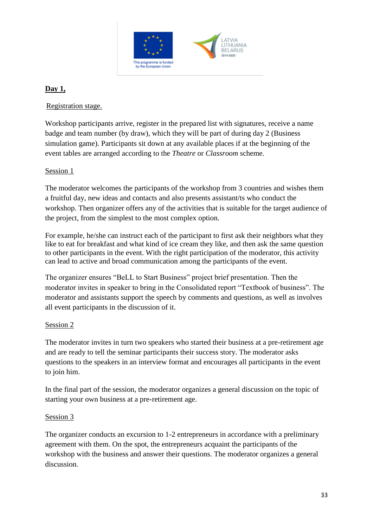

#### **Day 1,**

Registration stage.

Workshop participants arrive, register in the prepared list with signatures, receive a name badge and team number (by draw), which they will be part of during day 2 (Business simulation game). Participants sit down at any available places if at the beginning of the event tables are arranged according to the *Theatre* or *Classroom* scheme.

#### Session 1

The moderator welcomes the participants of the workshop from 3 countries and wishes them a fruitful day, new ideas and contacts and also presents assistant/ts who conduct the workshop. Then organizer offers any of the activities that is suitable for the target audience of the project, from the simplest to the most complex option.

For example, he/she can instruct each of the participant to first ask their neighbors what they like to eat for breakfast and what kind of ice cream they like, and then ask the same question to other participants in the event. With the right participation of the moderator, this activity can lead to active and broad communication among the participants of the event.

The organizer ensures "BeLL to Start Business" project brief presentation. Then the moderator invites in speaker to bring in the Consolidated report "Textbook of business". The moderator and assistants support the speech by comments and questions, as well as involves all event participants in the discussion of it.

#### Session 2

The moderator invites in turn two speakers who started their business at a pre-retirement age and are ready to tell the seminar participants their success story. The moderator asks questions to the speakers in an interview format and encourages all participants in the event to join him.

In the final part of the session, the moderator organizes a general discussion on the topic of starting your own business at a pre-retirement age.

#### Session 3

The organizer conducts an excursion to 1-2 entrepreneurs in accordance with a preliminary agreement with them. On the spot, the entrepreneurs acquaint the participants of the workshop with the business and answer their questions. The moderator organizes a general discussion.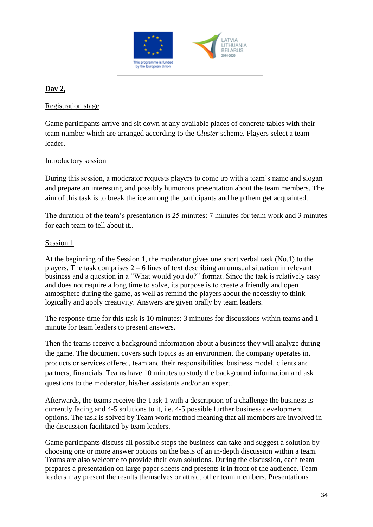

#### **Day 2,**

#### Registration stage

Game participants arrive and sit down at any available places of concrete tables with their team number which are arranged according to the *Cluster* scheme. Players select a team leader.

#### Introductory session

During this session, a moderator requests players to come up with a team's name and slogan and prepare an interesting and possibly humorous presentation about the team members. The aim of this task is to break the ice among the participants and help them get acquainted.

The duration of the team's presentation is 25 minutes: 7 minutes for team work and 3 minutes for each team to tell about it..

#### Session 1

At the beginning of the Session 1, the moderator gives one short verbal task (No.1) to the players. The task comprises 2 – 6 lines of text describing an unusual situation in relevant business and a question in a "What would you do?" format. Since the task is relatively easy and does not require a long time to solve, its purpose is to create a friendly and open atmosphere during the game, as well as remind the players about the necessity to think logically and apply creativity. Answers are given orally by team leaders.

The response time for this task is 10 minutes: 3 minutes for discussions within teams and 1 minute for team leaders to present answers.

Then the teams receive a background information about a business they will analyze during the game. The document covers such topics as an environment the company operates in, products or services offered, team and their responsibilities, business model, clients and partners, financials. Teams have 10 minutes to study the background information and ask questions to the moderator, his/her assistants and/or an expert.

Afterwards, the teams receive the Task 1 with a description of a challenge the business is currently facing and 4-5 solutions to it, i.e. 4-5 possible further business development options. The task is solved by Team work method meaning that all members are involved in the discussion facilitated by team leaders.

Game participants discuss all possible steps the business can take and suggest a solution by choosing one or more answer options on the basis of an in-depth discussion within a team. Teams are also welcome to provide their own solutions. During the discussion, each team prepares a presentation on large paper sheets and presents it in front of the audience. Team leaders may present the results themselves or attract other team members. Presentations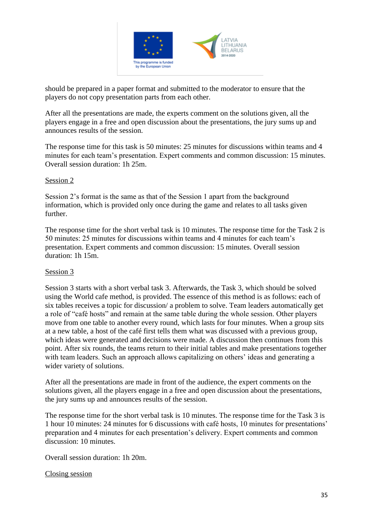

should be prepared in a paper format and submitted to the moderator to ensure that the players do not copy presentation parts from each other.

After all the presentations are made, the experts comment on the solutions given, all the players engage in a free and open discussion about the presentations, the jury sums up and announces results of the session.

The response time for this task is 50 minutes: 25 minutes for discussions within teams and 4 minutes for each team's presentation. Expert comments and common discussion: 15 minutes. Overall session duration: 1h 25m.

#### Session 2

Session 2's format is the same as that of the Session 1 apart from the background information, which is provided only once during the game and relates to all tasks given further.

The response time for the short verbal task is 10 minutes. The response time for the Task 2 is 50 minutes: 25 minutes for discussions within teams and 4 minutes for each team's presentation. Expert comments and common discussion: 15 minutes. Overall session duration: 1h 15m.

#### Session 3

Session 3 starts with a short verbal task 3. Afterwards, the Task 3, which should be solved using the World cafe method, is provided. The essence of this method is as follows: each of six tables receives a topic for discussion/ a problem to solve. Team leaders automatically get a role of "café hosts" and remain at the same table during the whole session. Other players move from one table to another every round, which lasts for four minutes. When a group sits at a new table, a host of the café first tells them what was discussed with a previous group, which ideas were generated and decisions were made. A discussion then continues from this point. After six rounds, the teams return to their initial tables and make presentations together with team leaders. Such an approach allows capitalizing on others' ideas and generating a wider variety of solutions.

After all the presentations are made in front of the audience, the expert comments on the solutions given, all the players engage in a free and open discussion about the presentations, the jury sums up and announces results of the session.

The response time for the short verbal task is 10 minutes. The response time for the Task 3 is 1 hour 10 minutes: 24 minutes for 6 discussions with café hosts, 10 minutes for presentations' preparation and 4 minutes for each presentation's delivery. Expert comments and common discussion: 10 minutes.

Overall session duration: 1h 20m.

#### Closing session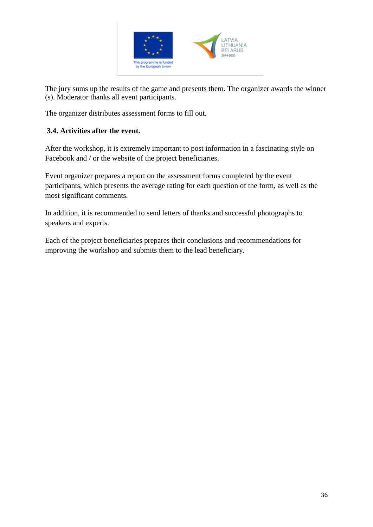

The jury sums up the results of the game and presents them. The organizer awards the winner (s). Moderator thanks all event participants.

The organizer distributes assessment forms to fill out.

#### **3.4. Activities after the event.**

After the workshop, it is extremely important to post information in a fascinating style on Facebook and / or the website of the project beneficiaries.

Event organizer prepares a report on the assessment forms completed by the event participants, which presents the average rating for each question of the form, as well as the most significant comments.

In addition, it is recommended to send letters of thanks and successful photographs to speakers and experts.

Each of the project beneficiaries prepares their conclusions and recommendations for improving the workshop and submits them to the lead beneficiary.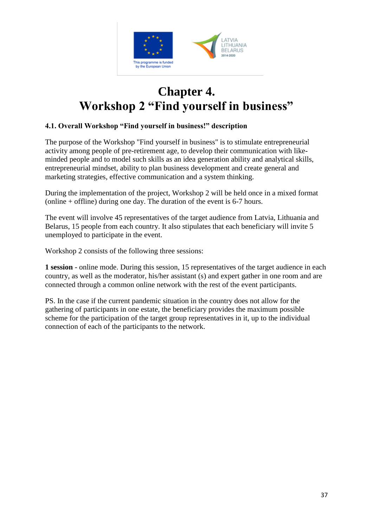

# **Chapter 4. Workshop 2 "Find yourself in business"**

#### **4.1. Overall Workshop "Find yourself in business!" description**

The purpose of the Workshop "Find yourself in business" is to stimulate entrepreneurial activity among people of pre-retirement age, to develop their communication with likeminded people and to model such skills as an idea generation ability and analytical skills, entrepreneurial mindset, ability to plan business development and create general and marketing strategies, effective communication and a system thinking.

During the implementation of the project, Workshop 2 will be held once in a mixed format (online + offline) during one day. The duration of the event is 6-7 hours.

The event will involve 45 representatives of the target audience from Latvia, Lithuania and Belarus, 15 people from each country. It also stipulates that each beneficiary will invite 5 unemployed to participate in the event.

Workshop 2 consists of the following three sessions:

**1 session** - online mode. During this session, 15 representatives of the target audience in each country, as well as the moderator, his/her assistant (s) and expert gather in one room and are connected through a common online network with the rest of the event participants.

PS. In the case if the current pandemic situation in the country does not allow for the gathering of participants in one estate, the beneficiary provides the maximum possible scheme for the participation of the target group representatives in it, up to the individual connection of each of the participants to the network.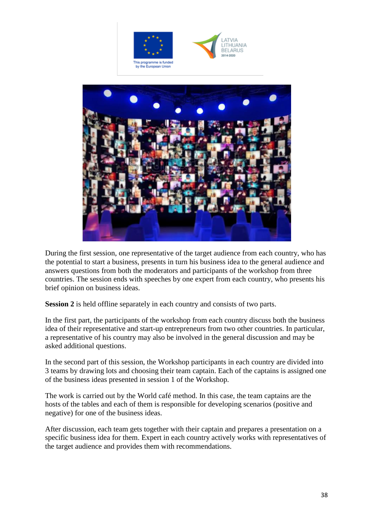





During the first session, one representative of the target audience from each country, who has the potential to start a business, presents in turn his business idea to the general audience and answers questions from both the moderators and participants of the workshop from three countries. The session ends with speeches by one expert from each country, who presents his brief opinion on business ideas.

**Session 2** is held offline separately in each country and consists of two parts.

In the first part, the participants of the workshop from each country discuss both the business idea of their representative and start-up entrepreneurs from two other countries. In particular, a representative of his country may also be involved in the general discussion and may be asked additional questions.

In the second part of this session, the Workshop participants in each country are divided into 3 teams by drawing lots and choosing their team captain. Each of the captains is assigned one of the business ideas presented in session 1 of the Workshop.

The work is carried out by the World café method. In this case, the team captains are the hosts of the tables and each of them is responsible for developing scenarios (positive and negative) for one of the business ideas.

After discussion, each team gets together with their captain and prepares a presentation on a specific business idea for them. Expert in each country actively works with representatives of the target audience and provides them with recommendations.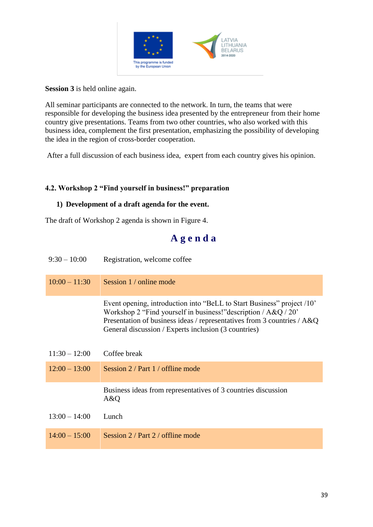

#### **Session 3** is held online again.

All seminar participants are connected to the network. In turn, the teams that were responsible for developing the business idea presented by the entrepreneur from their home country give presentations. Teams from two other countries, who also worked with this business idea, complement the first presentation, emphasizing the possibility of developing the idea in the region of cross-border cooperation.

After a full discussion of each business idea, expert from each country gives his opinion.

#### **4.2. Workshop 2 "Find yourself in business!" preparation**

#### **1) Development of a draft agenda for the event.**

The draft of Workshop 2 agenda is shown in Figure 4.

# **A g e n d a**

| $9:30 - 10:00$  | Registration, welcome coffee                                                                                                                                                                                                                                                      |
|-----------------|-----------------------------------------------------------------------------------------------------------------------------------------------------------------------------------------------------------------------------------------------------------------------------------|
| $10:00 - 11:30$ | Session 1 / online mode                                                                                                                                                                                                                                                           |
|                 | Event opening, introduction into "BeLL to Start Business" project /10"<br>Workshop 2 "Find yourself in business!" description / $A & Q / 20$ "<br>Presentation of business ideas / representatives from 3 countries / A&Q<br>General discussion / Experts inclusion (3 countries) |
| $11:30 - 12:00$ | Coffee break                                                                                                                                                                                                                                                                      |
| $12:00 - 13:00$ | Session 2 / Part 1 / offline mode                                                                                                                                                                                                                                                 |
|                 | Business ideas from representatives of 3 countries discussion<br>A&Q                                                                                                                                                                                                              |
| $13:00 - 14:00$ | Lunch                                                                                                                                                                                                                                                                             |
| $14:00 - 15:00$ | Session 2 / Part 2 / offline mode                                                                                                                                                                                                                                                 |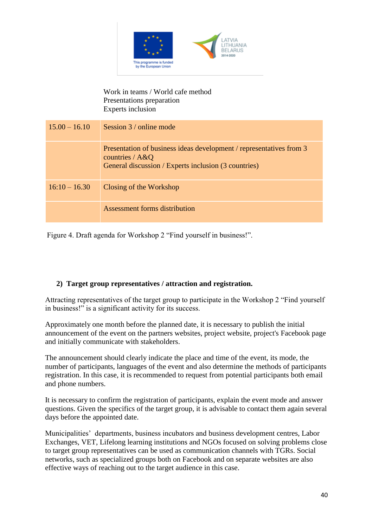

#### Work in teams / World cafe method Presentations preparation Experts inclusion

| $15.00 - 16.10$ | Session 3 / online mode                                                                                                                          |
|-----------------|--------------------------------------------------------------------------------------------------------------------------------------------------|
|                 | Presentation of business ideas development / representatives from 3<br>countries / $A&Q$<br>General discussion / Experts inclusion (3 countries) |
| $16:10 - 16.30$ | Closing of the Workshop                                                                                                                          |
|                 | Assessment forms distribution                                                                                                                    |

Figure 4. Draft agenda for Workshop 2 "Find yourself in business!".

#### **2) Target group representatives / attraction and registration.**

Attracting representatives of the target group to participate in the Workshop 2 "Find yourself in business!" is a significant activity for its success.

Approximately one month before the planned date, it is necessary to publish the initial announcement of the event on the partners websites, project website, project's Facebook page and initially communicate with stakeholders.

The announcement should clearly indicate the place and time of the event, its mode, the number of participants, languages of the event and also determine the methods of participants registration. In this case, it is recommended to request from potential participants both email and phone numbers.

It is necessary to confirm the registration of participants, explain the event mode and answer questions. Given the specifics of the target group, it is advisable to contact them again several days before the appointed date.

Municipalities' departments, business incubators and business development centres, Labor Exchanges, VET, Lifelong learning institutions and NGOs focused on solving problems close to target group representatives can be used as communication channels with TGRs. Social networks, such as specialized groups both on Facebook and on separate websites are also effective ways of reaching out to the target audience in this case.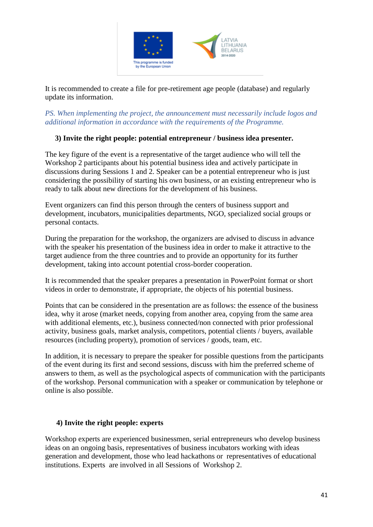

It is recommended to create a file for pre-retirement age people (database) and regularly update its information.

*PS. When implementing the project, the announcement must necessarily include logos and additional information in accordance with the requirements of the Programme.* 

#### **3) Invite the right people: potential entrepreneur / business idea presenter.**

The key figure of the event is a representative of the target audience who will tell the Workshop 2 participants about his potential business idea and actively participate in discussions during Sessions 1 and 2. Speaker can be a potential entrepreneur who is just considering the possibility of starting his own business, or an existing entrepreneur who is ready to talk about new directions for the development of his business.

Event organizers can find this person through the centers of business support and development, incubators, municipalities departments, NGO, specialized social groups or personal contacts.

During the preparation for the workshop, the organizers are advised to discuss in advance with the speaker his presentation of the business idea in order to make it attractive to the target audience from the three countries and to provide an opportunity for its further development, taking into account potential cross-border cooperation.

It is recommended that the speaker prepares a presentation in PowerPoint format or short videos in order to demonstrate, if appropriate, the objects of his potential business.

Points that can be considered in the presentation are as follows: the essence of the business idea, why it arose (market needs, copying from another area, copying from the same area with additional elements, etc.), business connected/non connected with prior professional activity, business goals, market analysis, competitors, potential clients / buyers, available resources (including property), promotion of services / goods, team, etc.

In addition, it is necessary to prepare the speaker for possible questions from the participants of the event during its first and second sessions, discuss with him the preferred scheme of answers to them, as well as the psychological aspects of communication with the participants of the workshop. Personal communication with a speaker or communication by telephone or online is also possible.

#### **4) Invite the right people: experts**

Workshop experts are experienced businessmen, serial entrepreneurs who develop business ideas on an ongoing basis, representatives of business incubators working with ideas generation and development, those who lead hackathons or representatives of educational institutions. Experts are involved in all Sessions of Workshop 2.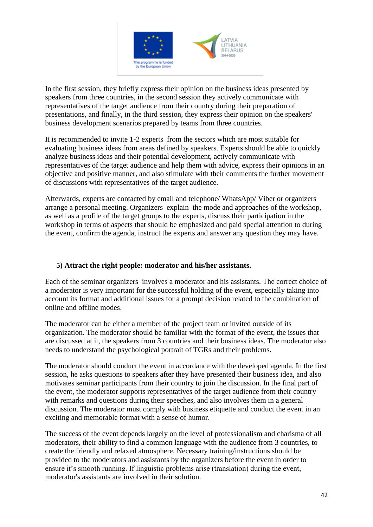

In the first session, they briefly express their opinion on the business ideas presented by speakers from three countries, in the second session they actively communicate with representatives of the target audience from their country during their preparation of presentations, and finally, in the third session, they express their opinion on the speakers' business development scenarios prepared by teams from three countries.

It is recommended to invite 1-2 experts from the sectors which are most suitable for evaluating business ideas from areas defined by speakers. Experts should be able to quickly analyze business ideas and their potential development, actively communicate with representatives of the target audience and help them with advice, express their opinions in an objective and positive manner, and also stimulate with their comments the further movement of discussions with representatives of the target audience.

Afterwards, experts are contacted by email and telephone/ WhatsApp/ Viber or organizers arrange a personal meeting. Organizers explain the mode and approaches of the workshop, as well as a profile of the target groups to the experts, discuss their participation in the workshop in terms of aspects that should be emphasized and paid special attention to during the event, confirm the agenda, instruct the experts and answer any question they may have.

#### **5) Attract the right people: moderator and his/her assistants.**

Each of the seminar organizers involves a moderator and his assistants. The correct choice of a moderator is very important for the successful holding of the event, especially taking into account its format and additional issues for a prompt decision related to the combination of online and offline modes.

The moderator can be either a member of the project team or invited outside of its organization. The moderator should be familiar with the format of the event, the issues that are discussed at it, the speakers from 3 countries and their business ideas. The moderator also needs to understand the psychological portrait of TGRs and their problems.

The moderator should conduct the event in accordance with the developed agenda. In the first session, he asks questions to speakers after they have presented their business idea, and also motivates seminar participants from their country to join the discussion. In the final part of the event, the moderator supports representatives of the target audience from their country with remarks and questions during their speeches, and also involves them in a general discussion. The moderator must comply with business etiquette and conduct the event in an exciting and memorable format with a sense of humor.

The success of the event depends largely on the level of professionalism and charisma of all moderators, their ability to find a common language with the audience from 3 countries, to create the friendly and relaxed atmosphere. Necessary training/instructions should be provided to the moderators and assistants by the organizers before the event in order to ensure it's smooth running. If linguistic problems arise (translation) during the event, moderator's assistants are involved in their solution.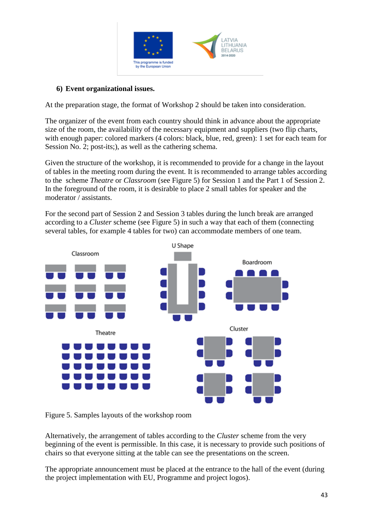

#### **6) Event organizational issues.**

At the preparation stage, the format of Workshop 2 should be taken into consideration.

The organizer of the event from each country should think in advance about the appropriate size of the room, the availability of the necessary equipment and suppliers (two flip charts, with enough paper: colored markers (4 colors: black, blue, red, green): 1 set for each team for Session No. 2; post-its;), as well as the cathering schema.

Given the structure of the workshop, it is recommended to provide for a change in the layout of tables in the meeting room during the event. It is recommended to arrange tables according to the scheme *Theatre* or *Classroom* (see Figure 5) for Session 1 and the Part 1 of Session 2. In the foreground of the room, it is desirable to place 2 small tables for speaker and the moderator / assistants.

For the second part of Session 2 and Session 3 tables during the lunch break are arranged according to a *Cluster* scheme (see Figure 5) in such a way that each of them (connecting several tables, for example 4 tables for two) can accommodate members of one team.



Figure 5. Samples layouts of the workshop room

Alternatively, the arrangement of tables according to the *Cluster* scheme from the very beginning of the event is permissible. In this case, it is necessary to provide such positions of chairs so that everyone sitting at the table can see the presentations on the screen.

The appropriate announcement must be placed at the entrance to the hall of the event (during the project implementation with EU, Programme and project logos).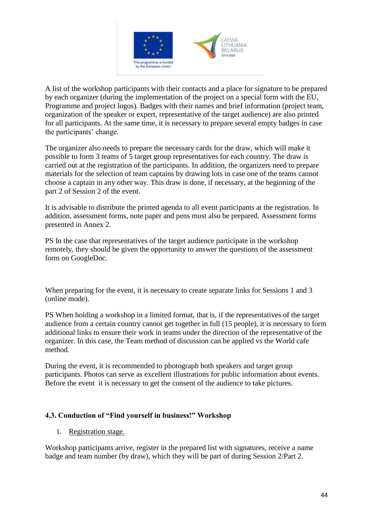

A list of the workshop participants with their contacts and a place for signature to be prepared by each organizer (during the implementation of the project on a special form with the EU, Programme and project logos). Badges with their names and brief information (project team, organization of the speaker or expert, representative of the target audience) are also printed for all participants. At the same time, it is necessary to prepare several empty badges in case the participants' change.

The organizer also needs to prepare the necessary cards for the draw, which will make it possible to form 3 teams of 5 target group representatives for each country. The draw is carried out at the registration of the participants. In addition, the organizers need to prepare materials for the selection of team captains by drawing lots in case one of the teams cannot choose a captain in any other way. This draw is done, if necessary, at the beginning of the part 2 of Session 2 of the event.

It is advisable to distribute the printed agenda to all event participants at the registration. In addition, assessment forms, note paper and pens must also be prepared. Assessment forms presented in Annex 2.

PS In the case that representatives of the target audience participate in the workshop remotely, they should be given the opportunity to answer the questions of the assessment form on GoogleDoc.

When preparing for the event, it is necessary to create separate links for Sessions 1 and 3 (online mode).

PS When holding a workshop in a limited format, that is, if the representatives of the target audience from a certain country cannot get together in full (15 people), it is necessary to form additional links to ensure their work in teams under the direction of the representative of the organizer. In this case, the Team method of discussion can be applied vs the World cafe method.

During the event, it is recommended to photograph both speakers and target group participants. Photos can serve as excellent illustrations for public information about events. Before the event it is necessary to get the consent of the audience to take pictures.

#### **4.3. Conduction of "Find yourself in business!" Workshop**

1. Registration stage.

Workshop participants arrive, register in the prepared list with signatures, receive a name badge and team number (by draw), which they will be part of during Session 2/Part 2.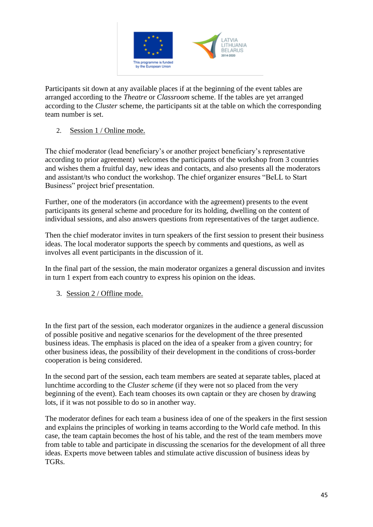

Participants sit down at any available places if at the beginning of the event tables are arranged according to the *Theatre* or *Classroom* scheme. If the tables are yet arranged according to the *Cluster* scheme, the participants sit at the table on which the corresponding team number is set.

#### 2. Session 1 / Online mode.

The chief moderator (lead beneficiary's or another project beneficiary's representative according to prior agreement) welcomes the participants of the workshop from 3 countries and wishes them a fruitful day, new ideas and contacts, and also presents all the moderators and assistant/ts who conduct the workshop. The chief organizer ensures "BeLL to Start Business" project brief presentation.

Further, one of the moderators (in accordance with the agreement) presents to the event participants its general scheme and procedure for its holding, dwelling on the content of individual sessions, and also answers questions from representatives of the target audience.

Then the chief moderator invites in turn speakers of the first session to present their business ideas. The local moderator supports the speech by comments and questions, as well as involves all event participants in the discussion of it.

In the final part of the session, the main moderator organizes a general discussion and invites in turn 1 expert from each country to express his opinion on the ideas.

3. Session 2 / Offline mode.

In the first part of the session, each moderator organizes in the audience a general discussion of possible positive and negative scenarios for the development of the three presented business ideas. The emphasis is placed on the idea of a speaker from a given country; for other business ideas, the possibility of their development in the conditions of cross-border cooperation is being considered.

In the second part of the session, each team members are seated at separate tables, placed at lunchtime according to the *Cluster scheme* (if they were not so placed from the very beginning of the event). Each team chooses its own captain or they are chosen by drawing lots, if it was not possible to do so in another way.

The moderator defines for each team a business idea of one of the speakers in the first session and explains the principles of working in teams according to the World cafe method. In this case, the team captain becomes the host of his table, and the rest of the team members move from table to table and participate in discussing the scenarios for the development of all three ideas. Experts move between tables and stimulate active discussion of business ideas by TGRs.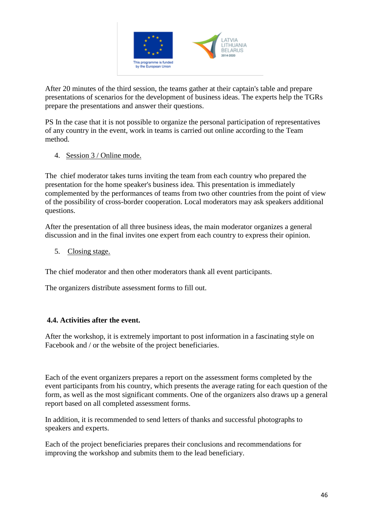

After 20 minutes of the third session, the teams gather at their captain's table and prepare presentations of scenarios for the development of business ideas. The experts help the TGRs prepare the presentations and answer their questions.

PS In the case that it is not possible to organize the personal participation of representatives of any country in the event, work in teams is carried out online according to the Team method.

#### 4. Session 3 / Online mode.

The chief moderator takes turns inviting the team from each country who prepared the presentation for the home speaker's business idea. This presentation is immediately complemented by the performances of teams from two other countries from the point of view of the possibility of cross-border cooperation. Local moderators may ask speakers additional questions.

After the presentation of all three business ideas, the main moderator organizes a general discussion and in the final invites one expert from each country to express their opinion.

5. Closing stage.

The chief moderator and then other moderators thank all event participants.

The organizers distribute assessment forms to fill out.

#### **4.4. Activities after the event.**

After the workshop, it is extremely important to post information in a fascinating style on Facebook and / or the website of the project beneficiaries.

Each of the event organizers prepares a report on the assessment forms completed by the event participants from his country, which presents the average rating for each question of the form, as well as the most significant comments. One of the organizers also draws up a general report based on all completed assessment forms.

In addition, it is recommended to send letters of thanks and successful photographs to speakers and experts.

Each of the project beneficiaries prepares their conclusions and recommendations for improving the workshop and submits them to the lead beneficiary.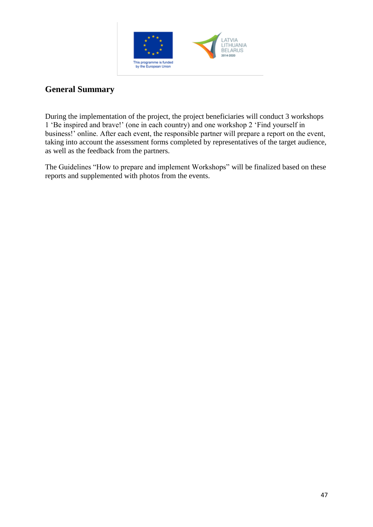

# **General Summary**

During the implementation of the project, the project beneficiaries will conduct 3 workshops 1 'Be inspired and brave!' (one in each country) and one workshop 2 'Find yourself in business!' online. After each event, the responsible partner will prepare a report on the event, taking into account the assessment forms completed by representatives of the target audience, as well as the feedback from the partners.

The Guidelines "How to prepare and implement Workshops" will be finalized based on these reports and supplemented with photos from the events.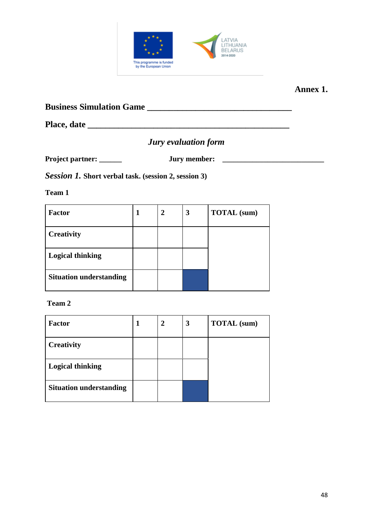

### **Annex 1.**

**Business Simulation Game \_\_\_\_\_\_\_\_\_\_\_\_\_\_\_\_\_\_\_\_\_\_\_\_\_\_\_\_\_\_\_\_\_** 

**Place, date \_\_\_\_\_\_\_\_\_\_\_\_\_\_\_\_\_\_\_\_\_\_\_\_\_\_\_\_\_\_\_\_\_\_\_\_\_\_\_\_\_\_\_\_\_\_**

# *Jury evaluation form*

**Project partner: \_\_\_\_\_\_ Jury member: \_\_\_\_\_\_\_\_\_\_\_\_\_\_\_\_\_\_\_\_\_\_\_\_\_\_\_**

*Session 1.* **Short verbal task. (session 2, session 3)**

**Team 1**

| <b>Factor</b>                  | 2 | 3 | <b>TOTAL</b> (sum) |
|--------------------------------|---|---|--------------------|
| <b>Creativity</b>              |   |   |                    |
| <b>Logical thinking</b>        |   |   |                    |
| <b>Situation understanding</b> |   |   |                    |

| <b>Factor</b>                  | $\overline{2}$ | 3 | <b>TOTAL</b> (sum) |
|--------------------------------|----------------|---|--------------------|
| <b>Creativity</b>              |                |   |                    |
| <b>Logical thinking</b>        |                |   |                    |
| <b>Situation understanding</b> |                |   |                    |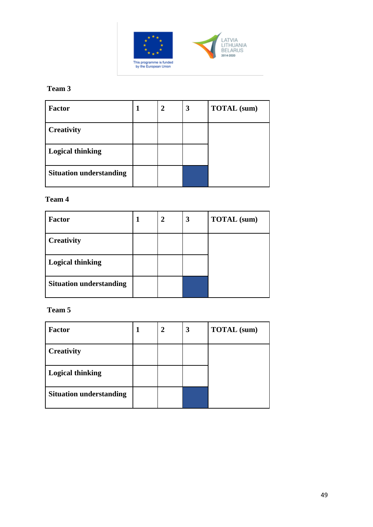

### **Team 3**

| <b>Factor</b>                  | 2 | 3 | <b>TOTAL</b> (sum) |
|--------------------------------|---|---|--------------------|
| <b>Creativity</b>              |   |   |                    |
| <b>Logical thinking</b>        |   |   |                    |
| <b>Situation understanding</b> |   |   |                    |

#### **Team 4**

| <b>Factor</b>                  | 2 | 3 | <b>TOTAL</b> (sum) |
|--------------------------------|---|---|--------------------|
| <b>Creativity</b>              |   |   |                    |
| <b>Logical thinking</b>        |   |   |                    |
| <b>Situation understanding</b> |   |   |                    |

| <b>Factor</b>                  | 2 | 3 | <b>TOTAL</b> (sum) |
|--------------------------------|---|---|--------------------|
| <b>Creativity</b>              |   |   |                    |
| <b>Logical thinking</b>        |   |   |                    |
| <b>Situation understanding</b> |   |   |                    |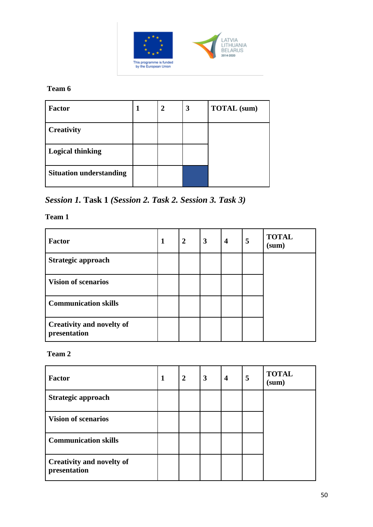

**Team 6**

| <b>Factor</b>                  | 2 | 3 | <b>TOTAL</b> (sum) |
|--------------------------------|---|---|--------------------|
| <b>Creativity</b>              |   |   |                    |
| <b>Logical thinking</b>        |   |   |                    |
| <b>Situation understanding</b> |   |   |                    |

*Session 1.* **Task 1** *(Session 2. Task 2. Session 3. Task 3)*

**Team 1**

| <b>Factor</b>                                    | 1 | $\overline{2}$ | $\overline{3}$ | $\overline{\mathbf{4}}$ | 5 | <b>TOTAL</b><br>(sum) |
|--------------------------------------------------|---|----------------|----------------|-------------------------|---|-----------------------|
| Strategic approach                               |   |                |                |                         |   |                       |
| <b>Vision of scenarios</b>                       |   |                |                |                         |   |                       |
| <b>Communication skills</b>                      |   |                |                |                         |   |                       |
| <b>Creativity and novelty of</b><br>presentation |   |                |                |                         |   |                       |

| <b>Factor</b>                                    | $\mathbf{1}$ | $\overline{2}$ | 3 | $\overline{\mathbf{4}}$ | 5 | <b>TOTAL</b><br>(sum) |
|--------------------------------------------------|--------------|----------------|---|-------------------------|---|-----------------------|
| Strategic approach                               |              |                |   |                         |   |                       |
| <b>Vision of scenarios</b>                       |              |                |   |                         |   |                       |
| <b>Communication skills</b>                      |              |                |   |                         |   |                       |
| <b>Creativity and novelty of</b><br>presentation |              |                |   |                         |   |                       |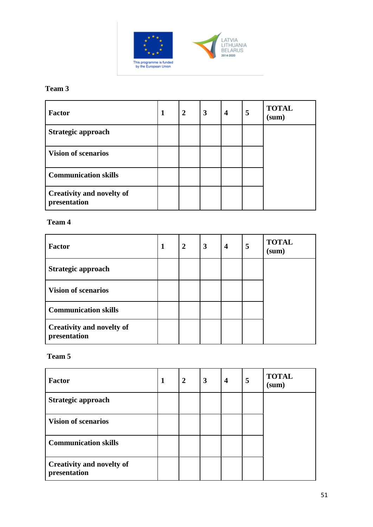

# LATVIA<br>LITHUANIA<br>BELARUS<br>2014-2020

# **Team 3**

| <b>Factor</b>                                    | 1 | $\overline{2}$ | 3 | $\overline{\mathbf{4}}$ | 5 | <b>TOTAL</b><br>(sum) |
|--------------------------------------------------|---|----------------|---|-------------------------|---|-----------------------|
| Strategic approach                               |   |                |   |                         |   |                       |
| <b>Vision of scenarios</b>                       |   |                |   |                         |   |                       |
| <b>Communication skills</b>                      |   |                |   |                         |   |                       |
| <b>Creativity and novelty of</b><br>presentation |   |                |   |                         |   |                       |

#### **Team 4**

| <b>Factor</b>                                    | 1 | $\overline{2}$ | 3 | $\overline{\mathbf{4}}$ | 5 | <b>TOTAL</b><br>(sum) |
|--------------------------------------------------|---|----------------|---|-------------------------|---|-----------------------|
| Strategic approach                               |   |                |   |                         |   |                       |
| <b>Vision of scenarios</b>                       |   |                |   |                         |   |                       |
| <b>Communication skills</b>                      |   |                |   |                         |   |                       |
| <b>Creativity and novelty of</b><br>presentation |   |                |   |                         |   |                       |

| <b>Factor</b>                                    | 1 | $\overline{2}$ | $\overline{\mathbf{3}}$ | $\overline{\mathbf{4}}$ | 5 | <b>TOTAL</b><br>(sum) |
|--------------------------------------------------|---|----------------|-------------------------|-------------------------|---|-----------------------|
| Strategic approach                               |   |                |                         |                         |   |                       |
| <b>Vision of scenarios</b>                       |   |                |                         |                         |   |                       |
| <b>Communication skills</b>                      |   |                |                         |                         |   |                       |
| <b>Creativity and novelty of</b><br>presentation |   |                |                         |                         |   |                       |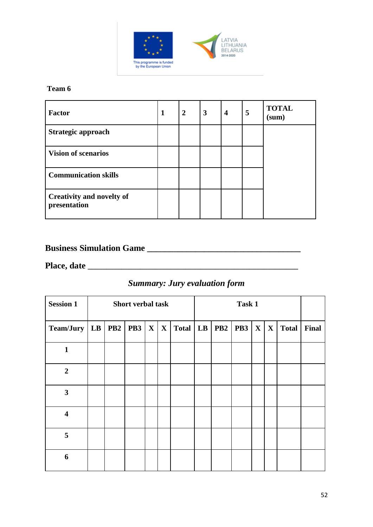

#### **Team 6**

| <b>Factor</b>                                    | 1 | $\overline{2}$ | 3 | $\overline{\mathbf{4}}$ | 5 | <b>TOTAL</b><br>(sum) |
|--------------------------------------------------|---|----------------|---|-------------------------|---|-----------------------|
| Strategic approach                               |   |                |   |                         |   |                       |
| <b>Vision of scenarios</b>                       |   |                |   |                         |   |                       |
| <b>Communication skills</b>                      |   |                |   |                         |   |                       |
| <b>Creativity and novelty of</b><br>presentation |   |                |   |                         |   |                       |

# **Business Simulation Game \_\_\_\_\_\_\_\_\_\_\_\_\_\_\_\_\_\_\_\_\_\_\_\_\_\_\_\_\_\_\_\_\_\_\_**

**Place, date \_\_\_\_\_\_\_\_\_\_\_\_\_\_\_\_\_\_\_\_\_\_\_\_\_\_\_\_\_\_\_\_\_\_\_\_\_\_\_\_\_\_\_\_\_\_\_\_\_\_\_\_\_\_\_\_**

# *Summary: Jury evaluation form*

| <b>Session 1</b>        |  | <b>Short verbal task</b> |              |              |            | Task 1 |                 |            |              |              |              |       |
|-------------------------|--|--------------------------|--------------|--------------|------------|--------|-----------------|------------|--------------|--------------|--------------|-------|
| Team/Jury   LB          |  | <b>PB2</b>   <b>PB3</b>  | $\mathbf{X}$ | $\mathbf{X}$ | Total   LB |        | PB <sub>2</sub> | <b>PB3</b> | $\mathbf{X}$ | $\mathbf{X}$ | <b>Total</b> | Final |
| $\mathbf{1}$            |  |                          |              |              |            |        |                 |            |              |              |              |       |
| $\overline{2}$          |  |                          |              |              |            |        |                 |            |              |              |              |       |
| $\mathbf{3}$            |  |                          |              |              |            |        |                 |            |              |              |              |       |
| $\overline{\mathbf{4}}$ |  |                          |              |              |            |        |                 |            |              |              |              |       |
| 5                       |  |                          |              |              |            |        |                 |            |              |              |              |       |
| 6                       |  |                          |              |              |            |        |                 |            |              |              |              |       |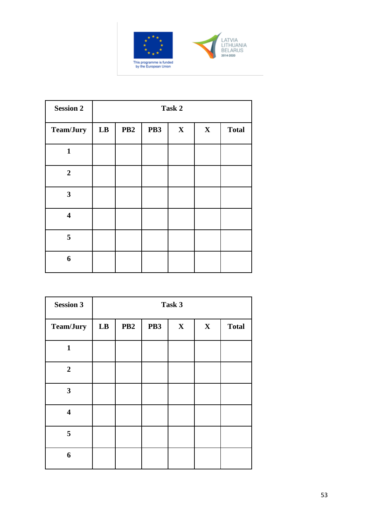



| <b>Session 2</b>        | Task 2        |                 |                 |              |             |              |
|-------------------------|---------------|-----------------|-----------------|--------------|-------------|--------------|
| <b>Team/Jury</b>        | $\mathbf{LB}$ | PB <sub>2</sub> | PB <sub>3</sub> | $\mathbf{X}$ | $\mathbf X$ | <b>Total</b> |
| $\mathbf{1}$            |               |                 |                 |              |             |              |
| $\overline{2}$          |               |                 |                 |              |             |              |
| 3                       |               |                 |                 |              |             |              |
| $\overline{\mathbf{4}}$ |               |                 |                 |              |             |              |
| 5                       |               |                 |                 |              |             |              |
| 6                       |               |                 |                 |              |             |              |

| <b>Session 3</b>        | Task 3 |                 |                 |              |             |              |
|-------------------------|--------|-----------------|-----------------|--------------|-------------|--------------|
| Team/Jury               | LB     | PB <sub>2</sub> | PB <sub>3</sub> | $\mathbf{X}$ | $\mathbf X$ | <b>Total</b> |
| $\mathbf{1}$            |        |                 |                 |              |             |              |
| $\overline{2}$          |        |                 |                 |              |             |              |
| $\mathbf{3}$            |        |                 |                 |              |             |              |
| $\overline{\mathbf{4}}$ |        |                 |                 |              |             |              |
| 5                       |        |                 |                 |              |             |              |
| 6                       |        |                 |                 |              |             |              |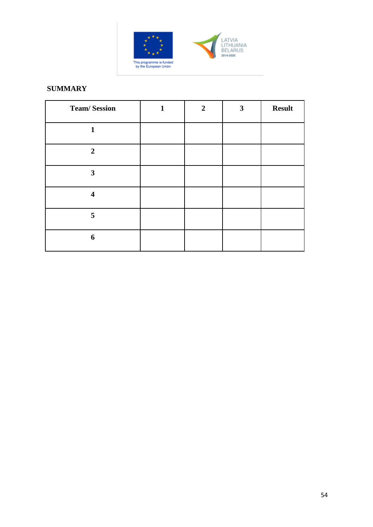

# LATVIA<br>LITHUANIA<br>BELARUS<br>2014-2020

#### **SUMMARY**

| <b>Team/Session</b>     | 1 | $\boldsymbol{2}$ | 3 | <b>Result</b> |
|-------------------------|---|------------------|---|---------------|
| 1                       |   |                  |   |               |
| $\overline{2}$          |   |                  |   |               |
| $\mathbf{3}$            |   |                  |   |               |
| $\overline{\mathbf{4}}$ |   |                  |   |               |
| 5                       |   |                  |   |               |
| 6                       |   |                  |   |               |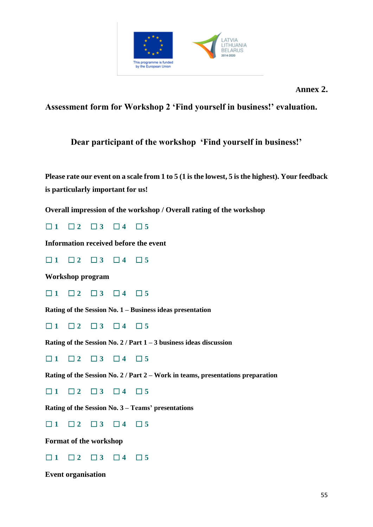

**Assessment form for Workshop 2 'Find yourself in business!' evaluation.**

# **Dear participant of the workshop 'Find yourself in business!'**

**Please rate our event on a scale from 1 to 5 (1 is the lowest, 5 is the highest). Your feedback is particularly important for us!**

**Overall impression of the workshop / Overall rating of the workshop**

☐ **1** ☐ **2** ☐ **3** ☐ **4** ☐ **5**

**Information received before the event**

☐ **1** ☐ **2** ☐ **3** ☐ **4** ☐ **5**

**Workshop program**

☐ **1** ☐ **2** ☐ **3** ☐ **4** ☐ **5**

**Rating of the Session No. 1 – Business ideas presentation**

☐ **1** ☐ **2** ☐ **3** ☐ **4** ☐ **5**

**Rating of the Session No. 2 / Part 1 – 3 business ideas discussion**

☐ **1** ☐ **2** ☐ **3** ☐ **4** ☐ **5**

**Rating of the Session No. 2 / Part 2 – Work in teams, presentations preparation**

☐ **1** ☐ **2** ☐ **3** ☐ **4** ☐ **5**

**Rating of the Session No. 3 – Teams' presentations**

☐ **1** ☐ **2** ☐ **3** ☐ **4** ☐ **5**

**Format of the workshop**

☐ **1** ☐ **2** ☐ **3** ☐ **4** ☐ **5**

**Event organisation**